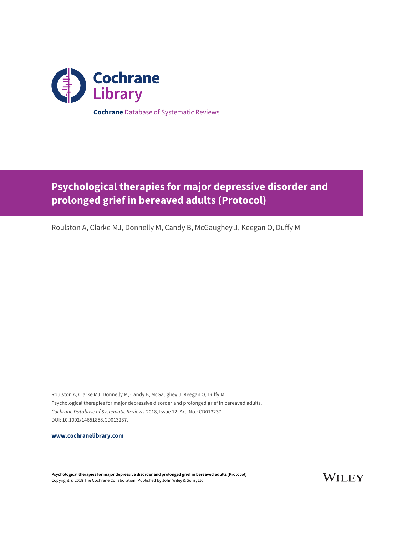

**Psychological therapies for major depressive disorder and prolonged grief in bereaved adults (Protocol)**

Roulston A, Clarke MJ, Donnelly M, Candy B, McGaughey J, Keegan O, Duffy M

Roulston A, Clarke MJ, Donnelly M, Candy B, McGaughey J, Keegan O, Duffy M. Psychological therapies for major depressive disorder and prolonged grief in bereaved adults. Cochrane Database of Systematic Reviews 2018, Issue 12. Art. No.: CD013237. DOI: 10.1002/14651858.CD013237.

**[www.cochranelibrary.com](http://www.cochranelibrary.com)**

**Psychological therapies for major depressive disorder and prolonged grief in bereaved adults (Protocol)** Copyright © 2018 The Cochrane Collaboration. Published by John Wiley & Sons, Ltd.

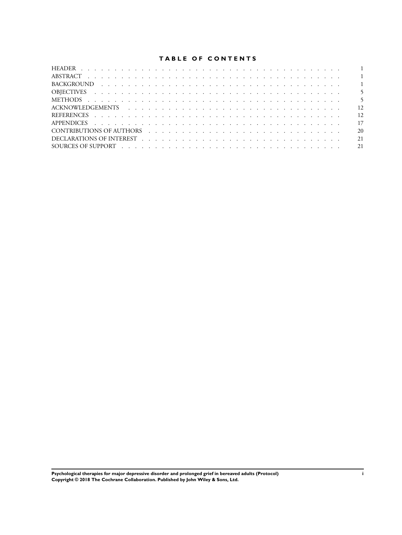# **TABLE OF CONTENTS**

| 12 |    |
|----|----|
| 12 |    |
| 17 |    |
|    | 20 |
|    |    |
|    |    |
|    |    |

**Psychological therapies for major depressive disorder and prolonged grief in bereaved adults (Protocol) i Copyright © 2018 The Cochrane Collaboration. Published by John Wiley & Sons, Ltd.**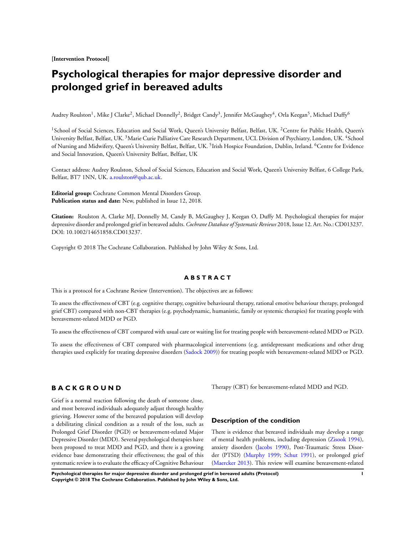<span id="page-2-0"></span>**[Intervention Protocol]**

# **Psychological therapies for major depressive disorder and prolonged grief in bereaved adults**

Audrey Roulston<sup>1</sup>, Mike J Clarke<sup>2</sup>, Michael Donnelly<sup>2</sup>, Bridget Candy<sup>3</sup>, Jennifer McGaughey<sup>4</sup>, Orla Keegan<sup>5</sup>, Michael Duffy<sup>6</sup>

<sup>1</sup>School of Social Sciences, Education and Social Work, Queen's University Belfast, Belfast, UK. <sup>2</sup>Centre for Public Health, Queen's University Belfast, Belfast, UK. <sup>3</sup>Marie Curie Palliative Care Research Department, UCL Division of Psychiatry, London, UK. <sup>4</sup>School of Nursing and Midwifery, Queen's University Belfast, Belfast, UK. <sup>5</sup>Irish Hospice Foundation, Dublin, Ireland. <sup>6</sup>Centre for Evidence and Social Innovation, Queen's University Belfast, Belfast, UK

Contact address: Audrey Roulston, School of Social Sciences, Education and Social Work, Queen's University Belfast, 6 College Park, Belfast, BT7 1NN, UK. [a.roulston@qub.ac.uk.](mailto:a.roulston@qub.ac.uk)

**Editorial group:** Cochrane Common Mental Disorders Group. **Publication status and date:** New, published in Issue 12, 2018.

**Citation:** Roulston A, Clarke MJ, Donnelly M, Candy B, McGaughey J, Keegan O, Duffy M. Psychological therapies for major depressive disorder and prolonged grief in bereaved adults. *Cochrane Database of Systematic Reviews* 2018, Issue 12. Art. No.: CD013237. DOI: 10.1002/14651858.CD013237.

Copyright © 2018 The Cochrane Collaboration. Published by John Wiley & Sons, Ltd.

# **A B S T R A C T**

This is a protocol for a Cochrane Review (Intervention). The objectives are as follows:

To assess the effectiveness of CBT (e.g. cognitive therapy, cognitive behavioural therapy, rational emotive behaviour therapy, prolonged grief CBT) compared with non-CBT therapies (e.g. psychodynamic, humanistic, family or systemic therapies) for treating people with bereavement-related MDD or PGD.

To assess the effectiveness of CBT compared with usual care or waiting list for treating people with bereavement-related MDD or PGD.

To assess the effectiveness of CBT compared with pharmacological interventions (e.g. antidepressant medications and other drug therapies used explicitly for treating depressive disorders ([Sadock 2009\)](#page-13-0)) for treating people with bereavement-related MDD or PGD.

# **B A C K G R O U N D**

Grief is a normal reaction following the death of someone close, and most bereaved individuals adequately adjust through healthy grieving. However some of the bereaved population will develop a debilitating clinical condition as a result of the loss, such as Prolonged Grief Disorder (PGD) or bereavement-related Major Depressive Disorder (MDD). Several psychological therapies have been proposed to treat MDD and PGD, and there is a growing evidence base demonstrating their effectiveness; the goal of this systematic review is to evaluate the efficacy of Cognitive Behaviour

Therapy (CBT) for bereavement-related MDD and PGD.

# **Description of the condition**

There is evidence that bereaved individuals may develop a range of mental health problems, including depression [\(Zisook 1994](#page-13-0)), anxiety disorders ([Jacobs 1990](#page-13-0)), Post-Traumatic Stress Disorder (PTSD) [\(Murphy 1999](#page-13-0); [Schut 1991\)](#page-13-0), or prolonged grief [\(Maercker 2013\)](#page-13-0). This review will examine bereavement-related

**Psychological therapies for major depressive disorder and prolonged grief in bereaved adults (Protocol) 1 Copyright © 2018 The Cochrane Collaboration. Published by John Wiley & Sons, Ltd.**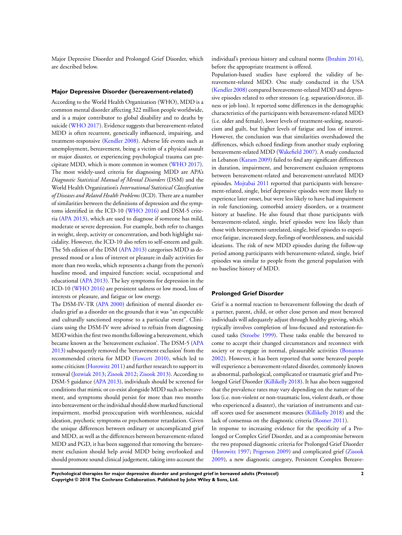Major Depresive Disorder and Prolonged Grief Disorder, which are described below.

## **Major Depressive Disorder (bereavement-related)**

According to the World Health Organization (WHO), MDD is a common mental disorder affecting 322 million people worldwide, and is a major contributor to global disability and to deaths by suicide ([WHO 2017](#page-13-0)). Evidence suggests that bereavement-related MDD is often recurrent, genetically influenced, impairing, and treatment-responsive ([Kendler 2008](#page-13-0)). Adverse life events such as unemployment, bereavement, being a victim of a physical assault or major disaster, or experiencing psychological trauma can precipitate MDD, which is more common in women [\(WHO 2017](#page-13-0)). The most widely-used criteria for diagnosing MDD are APA's *Diagnostic Statistical Manual of Mental Disorders* (DSM) and the World Health Organization's *International Statistical Classification of Diseases and Related Health Problems* (ICD). There are a number of similarities between the definitions of depression and the symptoms identified in the ICD-10 ([WHO 2016](#page-13-0)) and DSM-5 criteria [\(APA 2013](#page-13-0)), which are used to diagnose if someone has mild, moderate or severe depression. For example, both refer to changes in weight, sleep, activity or concentration, and both highlight suicidality. However, the ICD-10 also refers to self-esteem and guilt. The 5th edition of the DSM ([APA 2013](#page-13-0)) categorises MDD as depressed mood or a loss of interest or pleasure in daily activities for more than two weeks, which represents a change from the person's baseline mood, and impaired function: social, occupational and educational ([APA 2013\)](#page-13-0). The key symptoms for depression in the ICD-10 [\(WHO 2016](#page-13-0)) are persistent sadness or low mood, loss of interests or pleasure, and fatigue or low energy.

The DSM-IV-TR ([APA 2000](#page-13-0)) definition of mental disorder excludes grief as a disorder on the grounds that it was "an expectable and culturally sanctioned response to a particular event". Clinicians using the DSM-IV were advised to refrain from diagnosing MDD within the first two months following a bereavement, which became known as the 'bereavement exclusion'. The DSM-5 [\(APA](#page-13-0) [2013](#page-13-0)) subsequently removed the 'bereavement exclusion' from the recommended criteria for MDD ([Fawcett 2010](#page-13-0)), which led to some criticism ([Horowitz 2011](#page-13-0)) and further research to support its removal [\(Jozwiak 2013;](#page-13-0) [Zisook 2012](#page-13-0); [Zisook 2013\)](#page-13-0). According to DSM-5 guidance [\(APA 2013](#page-13-0)), individuals should be screened for conditions that mimic or co-exist alongside MDD such as bereavement, and symptoms should persist for more than two months into bereavement or the individual should show marked functional impairment, morbid preoccupation with worthlessness, suicidal ideation, psychotic symptoms or psychomotor retardation. Given the unique differences between ordinary or uncomplicated grief and MDD, as well as the differences between bereavement-related MDD and PGD, it has been suggested that removing the bereavement exclusion should help avoid MDD being overlooked and should promote sound clinical judgement, taking into account the

individual's previous history and cultural norms ([Ibrahim 2014](#page-13-0)), before the appropriate treatment is offered.

Population-based studies have explored the validity of bereavement-related MDD. One study conducted in the USA [\(Kendler 2008](#page-13-0)) compared bereavement-related MDD and depressive episodes related to other stressors (e.g. separation/divorce, illness or job loss). It reported some differences in the demographic characteristics of the participants with bereavement-related MDD (i.e. older and female), lower levels of treatment-seeking, neuroticism and guilt, but higher levels of fatigue and loss of interest. However, the conclusion was that similarities overshadowed the differences, which echoed findings from another study exploring bereavement-related MDD [\(Wakefield 2007](#page-13-0)). A study conducted in Lebanon [\(Karam 2009](#page-13-0)) failed to find any significant differences in duration, impairment, and bereavement exclusion symptoms between bereavement-related and bereavement-unrelated MDD episodes. [Mojtabai 2011](#page-13-0) reported that participants with bereavement-related, single, brief depressive episodes were more likely to experience later onset, but were less likely to have had impairment in role functioning, comorbid anxiety disorders, or a treatment history at baseline. He also found that those participants with bereavement-related, single, brief episodes were less likely than those with bereavement-unrelated, single, brief episodes to experience fatigue, increased sleep, feelings of worthlessness, and suicidal ideations. The risk of new MDD episodes during the follow-up period among participants with bereavement-related, single, brief episodes was similar to people from the general population with no baseline history of MDD.

#### **Prolonged Grief Disorder**

Grief is a normal reaction to bereavement following the death of a partner, parent, child, or other close person and most bereaved individuals will adequately adjust through healthy grieving, which typically involves completion of loss-focused and restoration-focused tasks [\(Stroebe 1999\)](#page-13-0). These tasks enable the bereaved to come to accept their changed circumstances and reconnect with society or re-engage in normal, pleasurable activities [\(Bonanno](#page-13-0) [2002](#page-13-0)). However, it has been reported that some bereaved people will experience a bereavement-related disorder, commonly known as abnormal, pathological, complicated or traumatic grief and Prolonged Grief Disorder [\(Killikelly 2018\)](#page-13-0). It has also been suggested that the prevalence rates may vary depending on the nature of the loss (i.e. non-violent or non-traumatic loss, violent death, or those who experienced a disaster), the variation of instruments and cutoff scores used for assessment measures ([Killikelly 2018](#page-13-0)) and the lack of consensus on the diagnostic criteria [\(Rosner 2011\)](#page-13-0).

In response to increasing evidence for the specificity of a Prolonged or Complex Grief Disorder, and as a compromise between the two proposed diagnostic criteria for Prolonged Grief Disorder [\(Horowitz 1997;](#page-13-0) [Prigerson 2009\)](#page-13-0) and complicated grief [\(Zisook](#page-13-0) [2009](#page-13-0)), a new diagnostic category, Persistent Complex Bereave-

**Psychological therapies for major depressive disorder and prolonged grief in bereaved adults (Protocol) 2 Copyright © 2018 The Cochrane Collaboration. Published by John Wiley & Sons, Ltd.**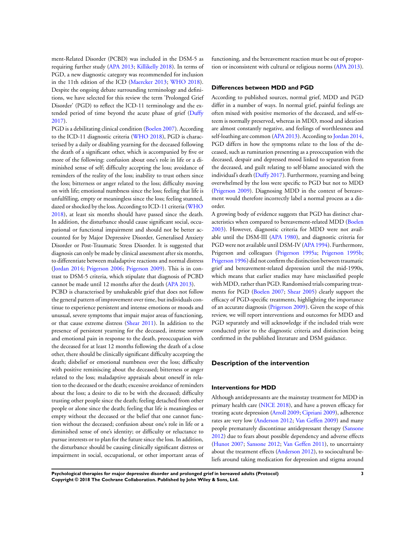ment-Related Disorder (PCBD) was included in the DSM-5 as requiring further study ([APA 2013;](#page-13-0) [Killikelly 2018\)](#page-13-0). In terms of PGD, a new diagnostic category was recommended for inclusion in the 11th edition of the ICD [\(Maercker 2013;](#page-13-0) [WHO 2018](#page-13-0)). Despite the ongoing debate surrounding terminology and definitions, we have selected for this review the term 'Prolonged Grief Disorder' (PGD) to reflect the ICD-11 terminology and the extended period of time beyond the acute phase of grief ([Duffy](#page-13-0) [2017](#page-13-0)).

PGD is a debilitating clinical condition [\(Boelen 2007\)](#page-13-0). According to the ICD-11 diagnostic criteria ([WHO 2018](#page-13-0)), PGD is characterised by a daily or disabling yearning for the deceased following the death of a significant other, which is accompanied by five or more of the following: confusion about one's role in life or a diminished sense of self; difficulty accepting the loss; avoidance of reminders of the reality of the loss; inability to trust others since the loss; bitterness or anger related to the loss; difficulty moving on with life; emotional numbness since the loss; feeling that life is unfulfilling, empty or meaningless since the loss; feeling stunned, dazed or shocked by the loss. According to ICD-11 criteria [\(WHO](#page-13-0) [2018](#page-13-0)), at least six months should have passed since the death. In addition, the disturbance should cause significant social, occupational or functional impairment and should not be better accounted for by Major Depressive Disorder, Generalised Anxiety Disorder or Post-Traumatic Stress Disorder. It is suggested that diagnosis can only be made by clinical assessment after six months, to differentiate between maladaptive reactions and normal distress [\(Jordan 2014](#page-13-0); [Prigerson 2006;](#page-13-0) [Prigerson 2009\)](#page-13-0). This is in contrast to DSM-5 criteria, which stipulate that diagnosis of PCBD cannot be made until 12 months after the death ([APA 2013\)](#page-13-0).

PCBD is characterised by unshakeable grief that does not follow the general pattern of improvement over time, but individuals continue to experience persistent and intense emotions or moods and unusual, severe symptoms that impair major areas of functioning, or that cause extreme distress [\(Shear 2011\)](#page-13-0). In addition to the presence of persistent yearning for the deceased, intense sorrow and emotional pain in response to the death, preoccupation with the deceased for at least 12 months following the death of a close other, there should be clinically significant difficulty accepting the death; disbelief or emotional numbness over the loss; difficulty with positive reminiscing about the deceased; bitterness or anger related to the loss; maladaptive appraisals about oneself in relation to the deceased or the death; excessive avoidance of reminders about the loss; a desire to die to be with the deceased; difficulty trusting other people since the death; feeling detached from other people or alone since the death; feeling that life is meaningless or empty without the deceased or the belief that one cannot function without the deceased; confusion about one's role in life or a diminished sense of one's identity; or difficulty or reluctance to pursue interests or to plan for the future since the loss. In addition, the disturbance should be causing clinically significant distress or impairment in social, occupational, or other important areas of functioning, and the bereavement reaction must be out of proportion or inconsistent with cultural or religious norms [\(APA 2013](#page-13-0)).

# **Differences between MDD and PGD**

According to published sources, normal grief, MDD and PGD differ in a number of ways. In normal grief, painful feelings are often mixed with positive memories of the deceased, and self-esteem is normally preserved, whereas in MDD, mood and ideation are almost constantly negative, and feelings of worthlessness and self-loathing are common [\(APA 2013\)](#page-13-0). According to [Jordan 2014,](#page-13-0) PGD differs in how the symptoms relate to the loss of the deceased, such as rumination presenting as a preoccupation with the deceased, despair and depressed mood linked to separation from the deceased, and guilt relating to self-blame associated with the individual's death ([Duffy 2017](#page-13-0)). Furthermore, yearning and being overwhelmed by the loss were specific to PGD but not to MDD [\(Prigerson 2009\)](#page-13-0). Diagnosing MDD in the context of bereavement would therefore incorrectly label a normal process as a disorder.

A growing body of evidence suggests that PGD has distinct characteristics when compared to bereavement-related MDD [\(Boelen](#page-13-0) [2003](#page-13-0)). However, diagnostic criteria for MDD were not available until the DSM-III ([APA 1980](#page-13-0)), and diagnostic criteria for PGD were not available until DSM-IV ([APA 1994](#page-13-0)). Furthermore, Prigerson and colleagues [\(Prigerson 1995a](#page-13-0); [Prigerson 1995b;](#page-13-0) [Prigerson 1996](#page-13-0)) did not confirm the distinction between traumatic grief and bereavement-related depression until the mid-1990s, which means that earlier studies may have misclassified people with MDD, rather than PGD. Randomised trials comparing treatments for PGD [\(Boelen 2007](#page-13-0); [Shear 2005\)](#page-13-0) clearly support the efficacy of PGD-specific treatments, highlighting the importance of an accurate diagnosis ([Prigerson 2009](#page-13-0)). Given the scope of this review, we will report interventions and outcomes for MDD and PGD separately and will acknowledge if the included trials were conducted prior to the diagnostic criteria and distinction being confirmed in the published literature and DSM guidance.

# **Description of the intervention**

## **Interventions for MDD**

Although antidepressants are the mainstay treatment for MDD in primary health care ([NICE 2018\)](#page-13-0), and have a proven efficacy for treating acute depression ([Arroll 2009](#page-13-0); [Cipriani 2009](#page-13-0)), adherence rates are very low ([Anderson 2012;](#page-13-0) [Van Geffen 2009](#page-13-0)) and many people prematurely discontinue antidepressant therapy ([Sansone](#page-13-0) [2012](#page-13-0)) due to fears about possible dependency and adverse effects [\(Hunot 2007](#page-13-0); [Sansone 2012](#page-13-0); [Van Geffen 2011\)](#page-13-0), to uncertainty about the treatment effects ([Anderson 2012](#page-13-0)), to sociocultural beliefs around taking medication for depression and stigma around

**Psychological therapies for major depressive disorder and prolonged grief in bereaved adults (Protocol) 3 Copyright © 2018 The Cochrane Collaboration. Published by John Wiley & Sons, Ltd.**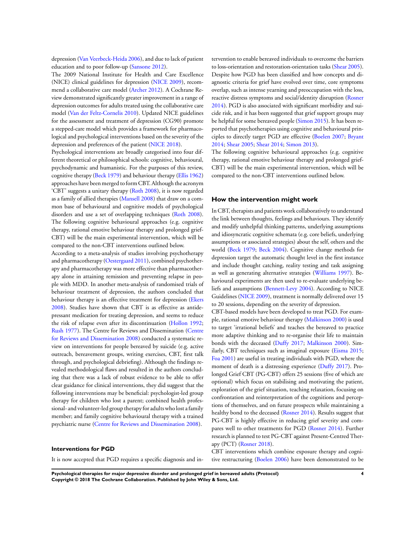depression [\(Van Veerbeck-Heida 2006\)](#page-13-0), and due to lack of patient education and to poor follow-up ([Sansone 2012](#page-13-0)).

The 2009 National Institute for Health and Care Excellence (NICE) clinical guidelines for depression [\(NICE 2009\)](#page-13-0), recommend a collaborative care model ([Archer 2012](#page-13-0)). A Cochrane Review demonstrated significantly greater improvement in a range of depression outcomes for adults treated using the collaborative care model [\(Van der Feltz-Cornelis 2010](#page-13-0)). Updated NICE guidelines for the assessment and treatment of depression (CG90) promote a stepped-care model which provides a framework for pharmacological and psychological interventions based on the severity of the depression and preferences of the patient ([NICE 2018](#page-13-0)).

Psychological interventions are broadly categorised into four different theoretical or philosophical schools: cognitive, behavioural, psychodynamic and humanistic. For the purposes of this review, cognitive therapy [\(Beck 1979](#page-13-0)) and behaviour therapy ([Ellis 1962](#page-13-0)) approaches have been merged to form CBT. Although the acronym 'CBT' suggests a unitary therapy ([Roth 2008](#page-13-0)), it is now regarded as a family of allied therapies [\(Mansell 2008\)](#page-13-0) that draw on a common base of behavioural and cognitive models of psychological disorders and use a set of overlapping techniques [\(Roth 2008](#page-13-0)). The following cognitive behavioural approaches (e.g. cognitive therapy, rational emotive behaviour therapy and prolonged grief-CBT) will be the main experimental intervention, which will be compared to the non-CBT interventions outlined below.

According to a meta-analysis of studies involving psychotherapy and pharmacotherapy ([Oestergaard 2011](#page-13-0)), combined psychotherapy and pharmacotherapy was more effective than pharmacotherapy alone in attaining remission and preventing relapse in people with MDD. In another meta-analysis of randomised trials of behaviour treatment of depression, the authors concluded that behaviour therapy is an effective treatment for depression [\(Ekers](#page-13-0) [2008](#page-13-0)). Studies have shown that CBT is as effective as antidepressant medication for treating depression, and seems to reduce the risk of relapse even after its discontinuation ([Hollon 1992;](#page-13-0) [Rush 1977](#page-13-0)). The Centre for Reviews and Dissemination [\(Centre](#page-13-0) [for Reviews and Dissemination 2008](#page-13-0)) conducted a systematic review on interventions for people bereaved by suicide (e.g. active outreach, bereavement groups, writing exercises, CBT, first talk through, and psychological debriefing). Although the findings revealed methodological flaws and resulted in the authors concluding that there was a lack of robust evidence to be able to offer clear guidance for clinical interventions, they did suggest that the following interventions may be beneficial: psychologist-led group therapy for children who lost a parent; combined health professional- and volunteer-led group therapy for adults who lost a family member; and family cognitive behavioural therapy with a trained psychiatric nurse ([Centre for Reviews and Dissemination 2008\)](#page-13-0).

It is now accepted that PGD requires a specific diagnosis and in-

**Interventions for PGD**

tervention to enable bereaved individuals to overcome the barriers to loss-orientation and restoration-orientation tasks [\(Shear 2005](#page-13-0)). Despite how PGD has been classified and how concepts and diagnostic criteria for grief have evolved over time, core symptoms overlap, such as intense yearning and preoccupation with the loss, reactive distress symptoms and social/identity disruption ([Rosner](#page-13-0) [2014](#page-13-0)). PGD is also associated with significant morbidity and suicide risk, and it has been suggested that grief support groups may be helpful for some bereaved people ([Simon 2015](#page-13-0)). It has been reported that psychotherapies using cognitive and behavioural principles to directly target PGD are effective ([Boelen 2007;](#page-13-0) [Bryant](#page-13-0) [2014](#page-13-0); [Shear 2005](#page-13-0); [Shear 2014;](#page-13-0) [Simon 2013](#page-13-0)).

The following cognitive behavioural approaches (e.g. cognitive therapy, rational emotive behaviour therapy and prolonged grief-CBT) will be the main experimental intervention, which will be compared to the non-CBT interventions outlined below.

# **How the intervention might work**

In CBT, therapists and patients work collaboratively to understand the link between thoughts, feelings and behaviours. They identify and modify unhelpful thinking patterns, underlying assumptions and idiosyncratic cognitive schemata (e.g. core beliefs, underlying assumptions or associated strategies) about the self, others and the world [\(Beck 1979;](#page-13-0) [Beck 2004\)](#page-13-0). Cognitive change methods for depression target the automatic thought level in the first instance and include thought catching, reality testing and task assigning as well as generating alternative strategies ([Williams 1997](#page-13-0)). Behavioural experiments are then used to re-evaluate underlying beliefs and assumptions [\(Bennett-Levy 2004\)](#page-13-0). According to NICE Guidelines [\(NICE 2009\)](#page-13-0), treatment is normally delivered over 15 to 20 sessions, depending on the severity of depression.

CBT-based models have been developed to treat PGD. For example, rational emotive behaviour therapy [\(Malkinson 2000](#page-13-0)) is used to target 'irrational beliefs' and teaches the bereaved to practice more adaptive thinking and to re-organise their life to maintain bonds with the deceased [\(Duffy 2017](#page-13-0); [Malkinson 2000](#page-13-0)). Similarly, CBT techniques such as imaginal exposure ([Eisma 2015;](#page-13-0) [Foa 2001\)](#page-13-0) are useful in treating individuals with PGD, where the moment of death is a distressing experience ([Duffy 2017](#page-13-0)). Prolonged Grief CBT (PG-CBT) offers 25 sessions (five of which are optional) which focus on stabilising and motivating the patient, exploration of the grief situation, teaching relaxation, focusing on confrontation and reinterpretation of the cognitions and perceptions of themselves, and on future prospects while maintaining a healthy bond to the deceased ([Rosner 2014](#page-13-0)). Results suggest that PG-CBT is highly effective in reducing grief severity and compares well to other treatments for PGD ([Rosner 2014\)](#page-13-0). Further research is planned to test PG-CBT against Present-Centred Therapy (PCT) ([Rosner 2018](#page-13-0)).

CBT interventions which combine exposure therapy and cognitive restructuring ([Boelen 2006\)](#page-13-0) have been demonstrated to be

**Psychological therapies for major depressive disorder and prolonged grief in bereaved adults (Protocol) 4 Copyright © 2018 The Cochrane Collaboration. Published by John Wiley & Sons, Ltd.**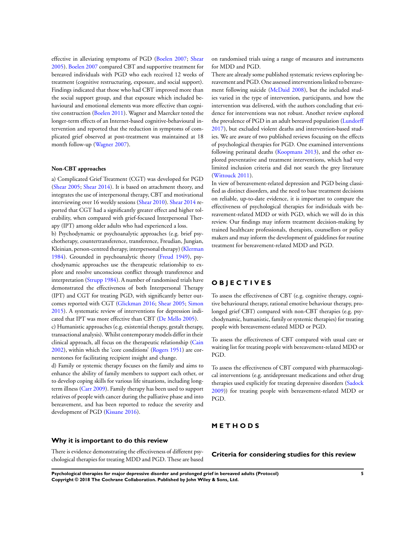effective in alleviating symptoms of PGD [\(Boelen 2007](#page-13-0); [Shear](#page-13-0) [2005](#page-13-0)). [Boelen 2007](#page-13-0) compared CBT and supportive treatment for bereaved individuals with PGD who each received 12 weeks of treatment (cognitive restructuring, exposure, and social support). Findings indicated that those who had CBT improved more than the social support group, and that exposure which included behavioural and emotional elements was more effective than cognitive construction [\(Boelen 2011](#page-13-0)). Wagner and Maercker tested the longer-term effects of an Internet-based cognitive-behavioural intervention and reported that the reduction in symptoms of complicated grief observed at post-treatment was maintained at 18 month follow-up ([Wagner 2007\)](#page-13-0).

#### **Non-CBT approaches**

a) Complicated Grief Treatment (CGT) was developed for PGD [\(Shear 2005;](#page-13-0) [Shear 2014](#page-13-0)). It is based on attachment theory, and integrates the use of interpersonal therapy, CBT and motivational interviewing over 16 weekly sessions [\(Shear 2010](#page-13-0)). [Shear 2014](#page-13-0) reported that CGT had a significantly greater effect and higher tolerability, when compared with grief-focused Interpersonal Therapy (IPT) among older adults who had experienced a loss.

b) Psychodynamic or psychoanalytic approaches (e.g. brief psychotherapy, countertransference, transference, Freudian, Jungian, Kleinian, person-centred therapy, interpersonal therapy) [\(Klerman](#page-13-0) [1984](#page-13-0)). Grounded in psychoanalytic theory [\(Freud 1949](#page-13-0)), psychodynamic approaches use the therapeutic relationship to explore and resolve unconscious conflict through transference and interpretation ([Strupp 1984](#page-13-0)). A number of randomised trials have demonstrated the effectiveness of both Interpersonal Therapy (IPT) and CGT for treating PGD, with significantly better outcomes reported with CGT [\(Glickman 2016](#page-13-0); [Shear 2005;](#page-13-0) [Simon](#page-13-0) [2015](#page-13-0)). A systematic review of interventions for depression indicated that IPT was more effective than CBT [\(De Mello 2005](#page-13-0)).

c) Humanistic approaches (e.g. existential therapy, gestalt therapy, transactional analysis). Whilst contemporary models differ in their clinical approach, all focus on the therapeutic relationship [\(Cain](#page-13-0) [2002](#page-13-0)), within which the 'core conditions' ([Rogers 1951\)](#page-13-0) are cornerstones for facilitating recipient insight and change.

d) Family or systemic therapy focuses on the family and aims to enhance the ability of family members to support each other, or to develop coping skills for various life situations, including longterm illness [\(Carr 2009\)](#page-13-0). Family therapy has been used to support relatives of people with cancer during the palliative phase and into bereavement, and has been reported to reduce the severity and development of PGD [\(Kissane 2016\)](#page-13-0).

# **Why it is important to do this review**

There is evidence demonstrating the effectiveness of different psychological therapies for treating MDD and PGD. These are based on randomised trials using a range of measures and instruments for MDD and PGD.

There are already some published systematic reviews exploring bereavement and PGD. One assessed interventions linked to bereavement following suicide ([McDaid 2008](#page-13-0)), but the included studies varied in the type of intervention, participants, and how the intervention was delivered, with the authors concluding that evidence for interventions was not robust. Another review explored the prevalence of PGD in an adult bereaved population ([Lundorff](#page-13-0) [2017](#page-13-0)), but excluded violent deaths and intervention-based studies. We are aware of two published reviews focusing on the effects of psychological therapies for PGD. One examined interventions following perinatal deaths [\(Koopmans 2013\)](#page-13-0), and the other explored preventative and treatment interventions, which had very limited inclusion criteria and did not search the grey literature [\(Wittouck 2011\)](#page-13-0).

In view of bereavement-related depression and PGD being classified as distinct disorders, and the need to base treatment decisions on reliable, up-to-date evidence, it is important to compare the effectiveness of psychological therapies for individuals with bereavement-related MDD or with PGD, which we will do in this review. Our findings may inform treatment decision-making by trained healthcare professionals, therapists, counsellors or policy makers and may inform the development of guidelines for routine treatment for bereavement-related MDD and PGD.

# **O B J E C T I V E S**

To assess the effectiveness of CBT (e.g. cognitive therapy, cognitive behavioural therapy, rational emotive behaviour therapy, prolonged grief CBT) compared with non-CBT therapies (e.g. psychodynamic, humanistic, family or systemic therapies) for treating people with bereavement-related MDD or PGD.

To assess the effectiveness of CBT compared with usual care or waiting list for treating people with bereavement-related MDD or PGD.

To assess the effectiveness of CBT compared with pharmacological interventions (e.g. antidepressant medications and other drug therapies used explicitly for treating depressive disorders [\(Sadock](#page-13-0) [2009](#page-13-0))) for treating people with bereavement-related MDD or PGD.

# **M E T H O D S**

**Criteria for considering studies for this review**

**Psychological therapies for major depressive disorder and prolonged grief in bereaved adults (Protocol) 5 Copyright © 2018 The Cochrane Collaboration. Published by John Wiley & Sons, Ltd.**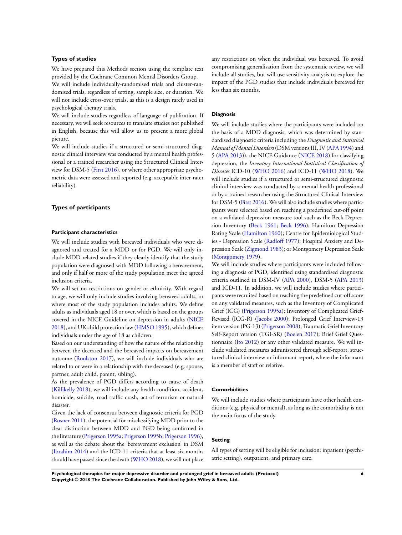# **Types of studies**

We have prepared this Methods section using the template text provided by the Cochrane Common Mental Disorders Group.

We will include individually-randomised trials and cluster-randomised trials, regardless of setting, sample size, or duration. We will not include cross-over trials, as this is a design rarely used in psychological therapy trials.

We will include studies regardless of language of publication. If necessary, we will seek resources to translate studies not published in English, because this will allow us to present a more global picture.

We will include studies if a structured or semi-structured diagnostic clinical interview was conducted by a mental health professional or a trained researcher using the Structured Clinical Interview for DSM-5 ([First 2016](#page-13-0)), or where other appropriate psychometric data were assessed and reported (e.g. acceptable inter-rater reliability).

## **Types of participants**

## **Participant characteristics**

We will include studies with bereaved individuals who were diagnosed and treated for a MDD or for PGD. We will only include MDD-related studies if they clearly identify that the study population were diagnosed with MDD following a bereavement, and only if half or more of the study population meet the agreed inclusion criteria.

We will set no restrictions on gender or ethnicity. With regard to age, we will only include studies involving bereaved adults, or where most of the study population includes adults. We define adults as individuals aged 18 or over, which is based on the groups covered in the NICE Guideline on depression in adults ([NICE](#page-13-0) [2018](#page-13-0)), and UK child protection law ([HMSO 1995](#page-13-0)), which defines individuals under the age of 18 as children.

Based on our understanding of how the nature of the relationship between the deceased and the bereaved impacts on bereavement outcome ([Roulston 2017\)](#page-13-0), we will include individuals who are related to or were in a relationship with the deceased (e.g. spouse, partner, adult child, parent, sibling).

As the prevalence of PGD differs according to cause of death [\(Killikelly 2018\)](#page-13-0), we will include any health condition, accident, homicide, suicide, road traffic crash, act of terrorism or natural disaster.

Given the lack of consensus between diagnostic criteria for PGD [\(Rosner 2011](#page-13-0)), the potential for misclassifying MDD prior to the clear distinction between MDD and PGD being confirmed in the literature [\(Prigerson 1995a](#page-13-0); [Prigerson 1995b](#page-13-0); [Prigerson 1996](#page-13-0)), as well as the debate about the 'bereavement exclusion' in DSM [\(Ibrahim 2014\)](#page-13-0) and the ICD-11 criteria that at least six months should have passed since the death [\(WHO 2018\)](#page-13-0), we will not place any restrictions on when the individual was bereaved. To avoid compromising generalisation from the systematic review, we will include all studies, but will use sensitivity analysis to explore the impact of the PGD studies that include individuals bereaved for less than six months.

# **Diagnosis**

We will include studies where the participants were included on the basis of a MDD diagnosis, which was determined by standardised diagnostic criteria including the *Diagnostic and Statistical Manual of Mental Disorders* (DSM versions III, IV ([APA 1994\)](#page-13-0) and 5 ([APA 2013\)](#page-13-0)), the NICE Guidance [\(NICE 2018\)](#page-13-0) for classifying depression, the *Inventory International Statistical Classification of Diseases* ICD-10 [\(WHO 2016](#page-13-0)) and ICD-11 [\(WHO 2018\)](#page-13-0). We will include studies if a structured or semi-structured diagnostic clinical interview was conducted by a mental health professional or by a trained researcher using the Structured Clinical Interview for DSM-5 [\(First 2016\)](#page-13-0). We will also include studies where participants were selected based on reaching a predefined cut-off point on a validated depression measure tool such as the Beck Depression Inventory [\(Beck 1961](#page-13-0); [Beck 1996](#page-13-0)); Hamilton Depression Rating Scale [\(Hamilton 1960](#page-13-0)); Centre for Epidemiological Studies - Depression Scale ([Radloff 1977](#page-13-0)); Hospital Anxiety and Depression Scale ([Zigmond 1983](#page-13-0)); or Montgomery Depression Scale [\(Montgomery 1979](#page-13-0)).

We will include studies where participants were included following a diagnosis of PGD, identified using standardised diagnostic criteria outlined in DSM-IV [\(APA 2000](#page-13-0)), DSM-5 [\(APA 2013](#page-13-0)) and ICD-11. In addition, we will include studies where participants were recruited based on reaching the predefined cut-off score on any validated measures, such as the Inventory of Complicated Grief (ICG) [\(Prigerson 1995a](#page-13-0)); Inventory of Complicated Grief-Revised (ICG-R) [\(Jacobs 2000\)](#page-13-0); Prolonged Grief Interview-13 item version (PG-13) ([Prigerson 2008\)](#page-13-0); Traumatic Grief Inventory Self-Report version (TGI-SR) ([Boelen 2017](#page-13-0)); Brief Grief Questionnaire [\(Ito 2012\)](#page-13-0) or any other validated measure. We will include validated measures administered through self-report, structured clinical interview or informant report, where the informant is a member of staff or relative.

## **Comorbidities**

We will include studies where participants have other health conditions (e.g. physical or mental), as long as the comorbidity is not the main focus of the study.

#### **Setting**

All types of setting will be eligible for inclusion: inpatient (psychiatric setting), outpatient, and primary care.

**Psychological therapies for major depressive disorder and prolonged grief in bereaved adults (Protocol) 6 Copyright © 2018 The Cochrane Collaboration. Published by John Wiley & Sons, Ltd.**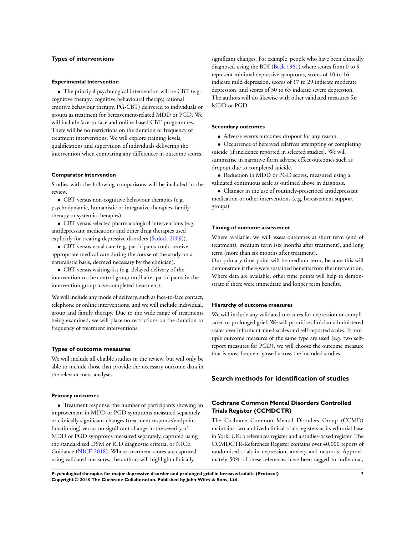# **Types of interventions**

#### **Experimental Intervention**

• The principal psychological intervention will be CBT (e.g. cognitive therapy, cognitive behavioural therapy, rational emotive behaviour therapy, PG-CBT) delivered to individuals or groups as treatment for bereavement-related MDD or PGD. We will include face-to-face and online-based CBT programmes. There will be no restrictions on the duration or frequency of treatment interventions. We will explore training levels, qualifications and supervision of individuals delivering the intervention when comparing any differences in outcome scores.

#### **Comparator intervention**

Studies with the following comparisons will be included in the review.

• CBT versus non-cognitive behaviour therapies (e.g. psychodynamic, humanistic or integrative therapies, family therapy or systemic therapies).

• CBT versus selected pharmacological interventions (e.g. antidepressant medications and other drug therapies used explicitly for treating depressive disorders [\(Sadock 2009](#page-13-0))).

• CBT versus usual care (e.g. participants could receive appropriate medical care during the course of the study on a naturalistic basis, deemed necessary by the clinician).

• CBT versus waiting list (e.g. delayed delivery of the intervention to the control group until after participants in the intervention group have completed treatment).

We will include any mode of delivery, such as face-to-face contact, telephone or online interventions, and we will include individual, group and family therapy. Due to the wide range of treatments being examined, we will place no restrictions on the duration or frequency of treatment interventions.

#### **Types of outcome measures**

We will include all eligible studies in the review, but will only be able to include those that provide the necessary outcome data in the relevant meta-analyses.

#### **Primary outcomes**

• Treatment response: the number of participants showing an improvement in MDD or PGD symptoms measured separately or clinically significant changes (treatment response/endpoint functioning) versus no significant change in the severity of MDD or PGD symptoms measured separately, captured using the standardised DSM or ICD diagnostic criteria, or NICE Guidance ([NICE 2018\)](#page-13-0). Where treatment scores are captured using validated measures, the authors will highlight clinically

significant changes. For example, people who have been clinically diagnosed using the BDI ([Beck 1961\)](#page-13-0) where scores from 0 to 9 represent minimal depressive symptoms, scores of 10 to 16 indicate mild depression, scores of 17 to 29 indicate moderate depression, and scores of 30 to 63 indicate severe depression. The authors will do likewise with other validated measures for MDD or PGD.

## **Secondary outcomes**

• Adverse events outcome: dropout for any reason.

• Occurrence of bereaved relatives attempting or completing suicide (if incidence reported in selected studies). We will summarise in narrative form adverse effect outcomes such as dropout due to completed suicide.

• Reduction in MDD or PGD scores, measured using a validated continuous scale as outlined above in diagnosis.

• Changes in the use of routinely-prescribed antidepressant medication or other interventions (e.g. bereavement support groups).

#### **Timing of outcome assessment**

Where available, we will assess outcomes at short term (end of treatment), medium term (six months after treatment), and long term (more than six months after treatment).

Our primary time point will be medium term, because this will demonstrate if there were sustained benefits from the intervention. Where data are available, other time points will help to demonstrate if there were immediate and longer term benefits.

#### **Hierarchy of outcome measures**

We will include any validated measures for depression or complicated or prolonged grief. We will prioritise clinician-administered scales over informant-rated scales and self-reported scales. If multiple outcome measures of the same type are used (e.g. two selfreport measures for PGD), we will choose the outcome measure that is most frequently used across the included studies.

# **Search methods for identification of studies**

# **Cochrane Common Mental Disorders Controlled Trials Register (CCMDCTR)**

The Cochrane Common Mental Disorders Group (CCMD) maintains two archived clinical trials registers at its editorial base in York, UK: a references register and a studies-based register. The CCMDCTR-References Register contains over 40,000 reports of randomised trials in depression, anxiety and neurosis. Approximately 50% of these references have been tagged to individual,

**Psychological therapies for major depressive disorder and prolonged grief in bereaved adults (Protocol) 7 Copyright © 2018 The Cochrane Collaboration. Published by John Wiley & Sons, Ltd.**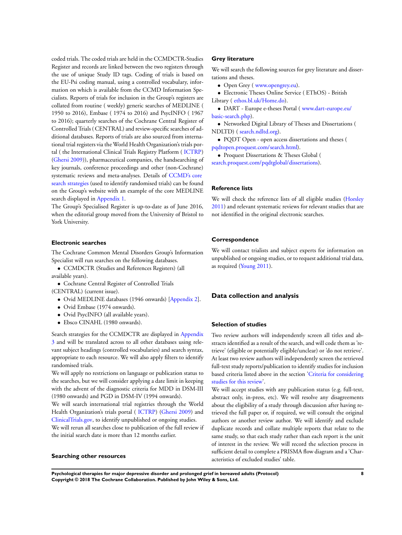coded trials. The coded trials are held in the CCMDCTR-Studies Register and records are linked between the two registers through the use of unique Study ID tags. Coding of trials is based on the EU-Psi coding manual, using a controlled vocabulary, information on which is available from the CCMD Information Specialists. Reports of trials for inclusion in the Group's registers are collated from routine ( weekly) generic searches of MEDLINE ( 1950 to 2016), Embase ( 1974 to 2016) and PsycINFO ( 1967 to 2016); quarterly searches of the Cochrane Central Register of Controlled Trials ( CENTRAL) and review-specific searches of additional databases. Reports of trials are also sourced from international trial registers via the World Health Organization's trials portal ( the International Clinical Trials Registry Platform ( [ICTRP](http://apps.who.int/trialsearch/)) [\(Ghersi 2009](#page-13-0))), pharmaceutical companies, the handsearching of key journals, conference proceedings and other (non-Cochrane) systematic reviews and meta-analyses. Details of [CCMD's core](http://cmd.cochrane.org/search-strategies-identification-studies) [search strategies](http://cmd.cochrane.org/search-strategies-identification-studies) (used to identify randomised trials) can be found on the Group's website with an example of the core MEDLINE search displayed in [Appendix 1.](#page-19-0)

The Group's Specialised Register is up-to-date as of June 2016, when the editorial group moved from the University of Bristol to York University.

#### **Electronic searches**

The Cochrane Common Mental Disorders Group's Information Specialist will run searches on the following databases.

- CCMDCTR (Studies and References Registers) (all available years).
- Cochrane Central Register of Controlled Trials (CENTRAL) (current issue).
	- Ovid MEDLINE databases (1946 onwards) [[Appendix 2](#page-19-0)].
	- Ovid Embase (1974 onwards).
	- Ovid PsycINFO (all available years).
	- Ebsco CINAHL (1980 onwards).

Search strategies for the CCMDCTR are displayed in [Appendix](#page-21-0) [3](#page-21-0) and will be translated across to all other databases using relevant subject headings (controlled vocabularies) and search syntax, appropriate to each resource. We will also apply filters to identify randomised trials.

We will apply no restrictions on language or publication status to the searches, but we will consider applying a date limit in keeping with the advent of the diagnostic criteria for MDD in DSM-III (1980 onwards) and PGD in DSM-IV (1994 onwards).

We will search international trial registries through the World Health Organization's trials portal ( [ICTRP](http://apps.who.int/trialsearch/)) ([Ghersi 2009\)](#page-13-0) and [ClinicalTrials.gov,](http://www.clinicaltrials.gov/) to identify unpublished or ongoing studies.

We will rerun all searches close to publication of the full review if the initial search date is more than 12 months earlier.

#### **Searching other resources**

# **Grey literature**

We will search the following sources for grey literature and dissertations and theses.

• Open Grey ( [www.opengrey.eu\)](http://www.opengrey.eu).

• Electronic Theses Online Service ( EThOS) - British Library ( [ethos.bl.uk/Home.do](http://ethos.bl.uk/Home.do)).

• DART - Europe e-theses Portal ( [www.dart-europe.eu/](http://www.dart-europe.eu/basic-search.php) [basic-search.php\)](http://www.dart-europe.eu/basic-search.php).

• Networked Digital Library of Theses and Dissertations ( NDLTD) ( [search.ndltd.org\)](http://search.ndltd.org).

• PQDT Open - open access dissertations and theses ( [pqdtopen.proquest.com/search.html\)](http://pqdtopen.proquest.com/search.html).

• Proquest Dissertations & Theses Global ( [search.proquest.com/pqdtglobal/dissertations\)](http://search.proquest.com/pqdtglobal/dissertations).

#### **Reference lists**

We will check the reference lists of all eligible studies [\(Horsley](#page-13-0) [2011](#page-13-0)) and relevant systematic reviews for relevant studies that are not identified in the original electronic searches.

#### **Correspondence**

We will contact trialists and subject experts for information on unpublished or ongoing studies, or to request additional trial data, as required [\(Young 2011](#page-13-0)).

# **Data collection and analysis**

#### **Selection of studies**

Two review authors will independently screen all titles and abstracts identified as a result of the search, and will code them as 'retrieve' (eligible or potentially eligible/unclear) or 'do not retrieve'. At least two review authors will independently screen the retrieved full-text study reports/publication to identify studies for inclusion based criteria listed above in the section ['Criteria for considering](#page-2-0) [studies for this review](#page-2-0)'.

We will accept studies with any publication status (e.g. full-text, abstract only, in-press, etc). We will resolve any disagreements about the eligibility of a study through discussion after having retrieved the full paper or, if required, we will consult the original authors or another review author. We will identify and exclude duplicate records and collate multiple reports that relate to the same study, so that each study rather than each report is the unit of interest in the review. We will record the selection process in sufficient detail to complete a PRISMA flow diagram and a 'Characteristics of excluded studies' table.

**Psychological therapies for major depressive disorder and prolonged grief in bereaved adults (Protocol) 8 Copyright © 2018 The Cochrane Collaboration. Published by John Wiley & Sons, Ltd.**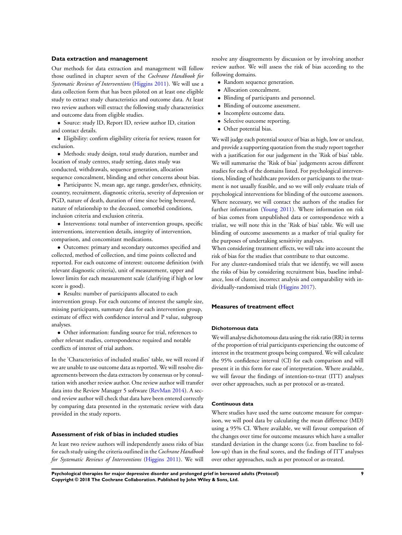# **Data extraction and management**

Our methods for data extraction and management will follow those outlined in chapter seven of the *Cochrane Handbook for Systematic Reviews of Interventions* ([Higgins 2011\)](#page-13-0). We will use a data collection form that has been piloted on at least one eligible study to extract study characteristics and outcome data. At least two review authors will extract the following study characteristics and outcome data from eligible studies.

• Source: study ID, Report ID, review author ID, citation and contact details.

• Eligibility: confirm eligibility criteria for review, reason for exclusion.

• Methods: study design, total study duration, number and location of study centres, study setting, dates study was conducted, withdrawals, sequence generation, allocation sequence concealment, blinding and other concerns about bias.

• Participants: N, mean age, age range, gender/sex, ethnicity, country, recruitment, diagnostic criteria, severity of depression or PGD, nature of death, duration of time since being bereaved, nature of relationship to the deceased, comorbid conditions, inclusion criteria and exclusion criteria.

• Interventions: total number of intervention groups, specific interventions, intervention details, integrity of intervention, comparison, and concomitant medications.

• Outcomes: primary and secondary outcomes specified and collected, method of collection, and time points collected and reported. For each outcome of interest: outcome definition (with relevant diagnostic criteria), unit of measurement, upper and lower limits for each measurement scale (clarifying if high or low score is good).

• Results: number of participants allocated to each intervention group. For each outcome of interest the sample size, missing participants, summary data for each intervention group, estimate of effect with confidence interval and P value, subgroup analyses.

• Other information: funding source for trial, references to other relevant studies, correspondence required and notable conflicts of interest of trial authors.

In the 'Characteristics of included studies' table, we will record if we are unable to use outcome data as reported. We will resolve disagreements between the data extractors by consensus or by consultation with another review author. One review author will transfer data into the Review Manager 5 software [\(RevMan 2014](#page-13-0)). A second review author will check that data have been entered correctly by comparing data presented in the systematic review with data provided in the study reports.

# **Assessment of risk of bias in included studies**

At least two review authors will independently assess risks of bias for each study using the criteria outlined in the *Cochrane Handbook for Systematic Reviews of Interventions* ([Higgins 2011\)](#page-13-0). We will resolve any disagreements by discussion or by involving another review author. We will assess the risk of bias according to the following domains.

- Random sequence generation.
- Allocation concealment.
- Blinding of participants and personnel.
- Blinding of outcome assessment.
- Incomplete outcome data.
- Selective outcome reporting.
- Other potential bias.

We will judge each potential source of bias as high, low or unclear, and provide a supporting quotation from the study report together with a justification for our judgement in the 'Risk of bias' table. We will summarise the 'Risk of bias' judgements across different studies for each of the domains listed. For psychological interventions, blinding of healthcare providers or participants to the treatment is not usually feasible, and so we will only evaluate trials of psychological interventions for blinding of the outcome assessors. Where necessary, we will contact the authors of the studies for further information [\(Young 2011](#page-13-0)). Where information on risk of bias comes from unpublished data or correspondence with a trialist, we will note this in the 'Risk of bias' table. We will use blinding of outcome assessments as a marker of trial quality for the purposes of undertaking sensitivity analyses.

When considering treatment effects, we will take into account the risk of bias for the studies that contribute to that outcome.

For any cluster-randomised trials that we identify, we will assess the risks of bias by considering recruitment bias, baseline imbalance, loss of cluster, incorrect analysis and comparability with individually-randomised trials [\(Higgins 2017\)](#page-13-0).

#### **Measures of treatment effect**

## **Dichotomous data**

We will analyse dichotomous data using the risk ratio (RR) in terms of the proportion of trial participants experiencing the outcome of interest in the treatment groups being compared. We will calculate the 95% confidence interval (CI) for each comparison and will present it in this form for ease of interpretation. Where available, we will favour the findings of intention-to-treat (ITT) analyses over other approaches, such as per protocol or as-treated.

# **Continuous data**

Where studies have used the same outcome measure for comparison, we will pool data by calculating the mean difference (MD) using a 95% CI. Where available, we will favour comparison of the changes over time for outcome measures which have a smaller standard deviation in the change scores (i.e. from baseline to follow-up) than in the final scores, and the findings of ITT analyses over other approaches, such as per protocol or as-treated.

**Psychological therapies for major depressive disorder and prolonged grief in bereaved adults (Protocol) 9 Copyright © 2018 The Cochrane Collaboration. Published by John Wiley & Sons, Ltd.**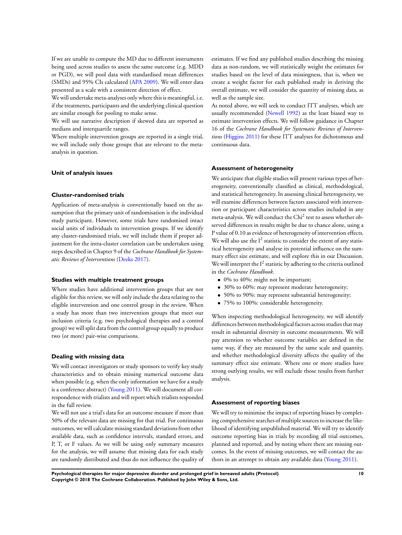If we are unable to compute the MD due to different instruments being used across studies to assess the same outcome (e.g. MDD or PGD), we will pool data with standardised mean differences (SMDs) and 95% CIs calculated ([APA 2009\)](#page-13-0). We will enter data presented as a scale with a consistent direction of effect.

We will undertake meta-analyses only where this is meaningful, i.e. if the treatments, participants and the underlying clinical question are similar enough for pooling to make sense.

We will use narrative description if skewed data are reported as medians and interquartile ranges.

Where multiple intervention groups are reported in a single trial, we will include only those groups that are relevant to the metaanalysis in question.

## **Unit of analysis issues**

# **Cluster-randomised trials**

Application of meta-analysis is conventionally based on the assumption that the primary unit of randomisation is the individual study participant. However, some trials have randomised intact social units of individuals to intervention groups. If we identify any cluster-randomised trials, we will include them if proper adjustment for the intra-cluster correlation can be undertaken using steps described in Chapter 9 of the *Cochrane Handbook for Systematic Reviews of Interventions* [\(Deeks 2017\)](#page-13-0).

## **Studies with multiple treatment groups**

Where studies have additional intervention groups that are not eligible for this review, we will only include the data relating to the eligible intervention and one control group in the review. When a study has more than two intervention groups that meet our inclusion criteria (e.g. two psychological therapies and a control group) we will split data from the control group equally to produce two (or more) pair-wise comparisons.

## **Dealing with missing data**

We will contact investigators or study sponsors to verify key study characteristics and to obtain missing numerical outcome data when possible (e.g. when the only information we have for a study is a conference abstract) ([Young 2011\)](#page-13-0). We will document all correspondence with trialists and will report which trialists responded in the full review.

We will not use a trial's data for an outcome measure if more than 50% of the relevant data are missing for that trial. For continuous outcomes, we will calculate missing standard deviations from other available data, such as confidence intervals, standard errors, and P, T, or F values. As we will be using only summary measures for the analysis, we will assume that missing data for each study are randomly distributed and thus do not influence the quality of estimates. If we find any published studies describing the missing data as non-random, we will statistically weight the estimates for studies based on the level of data missingness, that is, when we create a weight factor for each published study in deriving the overall estimate, we will consider the quantity of missing data, as well as the sample size.

As noted above, we will seek to conduct ITT analyses, which are usually recommended [\(Newell 1992\)](#page-13-0) as the least biased way to estimate intervention effects. We will follow guidance in Chapter 16 of the *Cochrane Handbook for Systematic Reviews of Interventions* ([Higgins 2011](#page-13-0)) for these ITT analyses for dichotomous and continuous data.

## **Assessment of heterogeneity**

We anticipate that eligible studies will present various types of heterogeneity, conventionally classified as clinical, methodological, and statistical heterogeneity. In assessing clinical heterogeneity, we will examine differences between factors associated with intervention or participant characteristics across studies included in any meta-analysis. We will conduct the Chi<sup>2</sup> test to assess whether observed differences in results might be due to chance alone, using a P value of 0.10 as evidence of heterogeneity of intervention effects. We will also use the  $I^2$  statistic to consider the extent of any statistical heterogeneity and analyse its potential influence on the summary effect size estimate, and will explore this in our Discussion. We will interpret the  $I^2$  statistic by adhering to the criteria outlined in the *Cochrane Handbook*.

- 0% to 40%: might not be important;
- 30% to 60%: may represent moderate heterogeneity;
- 50% to 90%: may represent substantial heterogeneity;
- 75% to 100%: considerable heterogeneity.

When inspecting methodological heterogeneity, we will identify differences between methodological factors across studies that may result in substantial diversity in outcome measurements. We will pay attention to whether outcome variables are defined in the same way, if they are measured by the same scale and quantity, and whether methodological diversity affects the quality of the summary effect size estimate. Where one or more studies have strong outlying results, we will exclude those results from further analysis.

## **Assessment of reporting biases**

We will try to minimise the impact of reporting biases by completing comprehensive searches of multiple sources to increase the likelihood of identifying unpublished material. We will try to identify outcome reporting bias in trials by recording all trial outcomes, planned and reported, and by noting where there are missing outcomes. In the event of missing outcomes, we will contact the authors in an attempt to obtain any available data [\(Young 2011\)](#page-13-0).

**Psychological therapies for major depressive disorder and prolonged grief in bereaved adults (Protocol) 10 Copyright © 2018 The Cochrane Collaboration. Published by John Wiley & Sons, Ltd.**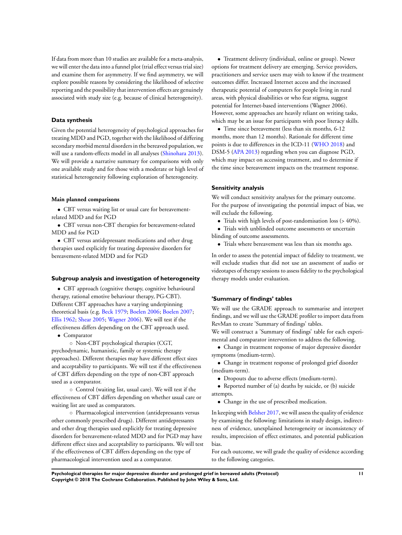If data from more than 10 studies are available for a meta-analysis, we will enter the data into a funnel plot (trial effect versus trial size) and examine them for asymmetry. If we find asymmetry, we will explore possible reasons by considering the likelihood of selective reporting and the possibility that intervention effects are genuinely associated with study size (e.g. because of clinical heterogeneity).

## **Data synthesis**

Given the potential heterogeneity of psychological approaches for treating MDD and PGD, together with the likelihood of differing secondary morbid mental disorders in the bereaved population, we will use a random-effects model in all analyses ([Shinohara 2013](#page-13-0)). We will provide a narrative summary for comparisons with only one available study and for those with a moderate or high level of statistical heterogeneity following exploration of heterogeneity.

## **Main planned comparisons**

• CBT versus waiting list or usual care for bereavementrelated MDD and for PGD

• CBT versus non-CBT therapies for bereavement-related MDD and for PGD

• CBT versus antidepressant medications and other drug therapies used explicitly for treating depressive disorders for bereavement-related MDD and for PGD

## **Subgroup analysis and investigation of heterogeneity**

• CBT approach (cognitive therapy, cognitive behavioural therapy, rational emotive behaviour therapy, PG-CBT). Different CBT approaches have a varying underpinning theoretical basis (e.g. [Beck 1979;](#page-13-0) [Boelen 2006](#page-13-0); [Boelen 2007;](#page-13-0) [Ellis 1962](#page-13-0); [Shear 2005](#page-13-0); [Wagner 2006\)](#page-13-0). We will test if the effectiveness differs depending on the CBT approach used.

• Comparator

◦ Non-CBT psychological therapies (CGT, psychodynamic, humanistic, family or systemic therapy approaches). Different therapies may have different effect sizes and acceptability to participants. We will test if the effectiveness of CBT differs depending on the type of non-CBT approach used as a comparator.

◦ Control (waiting list, usual care). We will test if the effectiveness of CBT differs depending on whether usual care or waiting list are used as comparators.

◦ Pharmacological intervention (antidepressants versus other commonly prescribed drugs). Different antidepressants and other drug therapies used explicitly for treating depressive disorders for bereavement-related MDD and for PGD may have different effect sizes and acceptability to participants. We will test if the effectiveness of CBT differs depending on the type of pharmacological intervention used as a comparator.

• Treatment delivery (individual, online or group). Newer options for treatment delivery are emerging. Service providers, practitioners and service users may wish to know if the treatment outcomes differ. Increased Internet access and the increased therapeutic potential of computers for people living in rural areas, with physical disabilities or who fear stigma, suggest potential for Internet-based interventions (Wagner 2006). However, some approaches are heavily reliant on writing tasks, which may be an issue for participants with poor literacy skills.

• Time since bereavement (less than six months, 6-12) months, more than 12 months). Rationale for different time points is due to differences in the ICD-11 ([WHO 2018](#page-13-0)) and DSM-5 [\(APA 2013](#page-13-0)) regarding when you can diagnose PGD, which may impact on accessing treatment, and to determine if the time since bereavement impacts on the treatment response.

## **Sensitivity analysis**

We will conduct sensitivity analyses for the primary outcome. For the purpose of investigating the potential impact of bias, we will exclude the following.

• Trials with high levels of post-randomisation loss (> 40%).

• Trials with unblinded outcome assessments or uncertain blinding of outcome assessments.

• Trials where bereavement was less than six months ago.

In order to assess the potential impact of fidelity to treatment, we will exclude studies that did not use an assessment of audio or videotapes of therapy sessions to assess fidelity to the psychological therapy models under evaluation.

# **'Summary of findings' tables**

We will use the GRADE approach to summarise and interpret findings, and we will use the GRADE profiler to import data from RevMan to create 'Summary of findings' tables.

We will construct a 'Summary of findings' table for each experimental and comparator intervention to address the following.

• Change in treatment response of major depressive disorder symptoms (medium-term).

• Change in treatment response of prolonged grief disorder (medium-term).

• Dropouts due to adverse effects (medium-term).

• Reported number of (a) deaths by suicide, or (b) suicide attempts.

• Change in the use of prescribed medication.

In keeping with [Belsher 2017,](#page-13-0) we will assess the quality of evidence by examining the following: limitations in study design, indirectness of evidence, unexplained heterogeneity or inconsistency of results, imprecision of effect estimates, and potential publication bias.

For each outcome, we will grade the quality of evidence according to the following categories.

**Psychological therapies for major depressive disorder and prolonged grief in bereaved adults (Protocol) 11 Copyright © 2018 The Cochrane Collaboration. Published by John Wiley & Sons, Ltd.**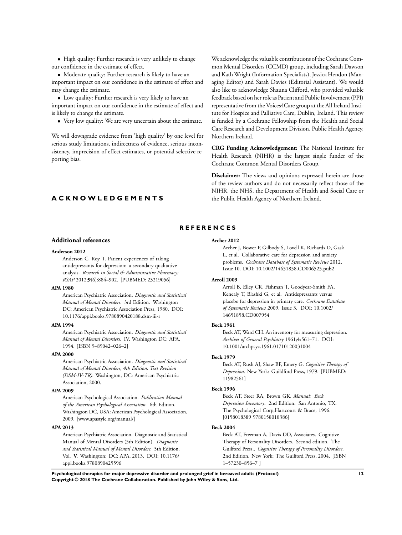<span id="page-13-0"></span>• High quality: Further research is very unlikely to change our confidence in the estimate of effect.

• Moderate quality: Further research is likely to have an important impact on our confidence in the estimate of effect and may change the estimate.

• Low quality: Further research is very likely to have an important impact on our confidence in the estimate of effect and is likely to change the estimate.

• Very low quality: We are very uncertain about the estimate.

We will downgrade evidence from 'high quality' by one level for serious study limitations, indirectness of evidence, serious inconsistency, imprecision of effect estimates, or potential selective reporting bias.

# **A C K N O W L E D G E M E N T S**

We acknowledge the valuable contributions of the Cochrane Common Mental Disorders (CCMD) group, including Sarah Dawson and Kath Wright (Information Specialists), Jessica Hendon (Managing Editor) and Sarah Davies (Editorial Assistant). We would also like to acknowledge Shauna Clifford, who provided valuable feedback based on her role as Patient and Public Involvement (PPI) representative from the Voices4Care group at the All Ireland Institute for Hospice and Palliative Care, Dublin, Ireland. This review is funded by a Cochrane Fellowship from the Health and Social Care Research and Development Division, Public Health Agency, Northern Ireland.

**CRG Funding Acknowledgement:** The National Institute for Health Research (NIHR) is the largest single funder of the Cochrane Common Mental Disorders Group.

**Disclaimer:** The views and opinions expressed herein are those of the review authors and do not necessarily reflect those of the NIHR, the NHS, the Department of Health and Social Care or the Public Health Agency of Northern Ireland.

# **R E F E R E N C E S**

#### **Archer 2012**

Archer J, Bower P, Gilbody S, Lovell K, Richards D, Gask L, et al. Collaborative care for depression and anxiety problems. *Cochrane Database of Systematic Reviews* 2012, Issue 10. DOI: 10.1002/14651858.CD006525.pub2

#### **Arroll 2009**

Arroll B, Elley CR, Fishman T, Goodyear-Smith FA, Kenealy T, Blashki G, et al. Antidepressants versus placebo for depression in primary care. *Cochrane Database of Systematic Reviews* 2009, Issue 3. DOI: 10.1002/ 14651858.CD007954

#### **Beck 1961**

Beck AT, Ward CH. An inventory for measuring depression. *Archives of General Psychiatry* 1961;**4**:561–71. DOI: 10.1001/archpsyc.1961.01710120031004

#### **Beck 1979**

Beck AT, Rush AJ, Shaw BF, Emery G. *Cognitive Therapy of Depression*. New York: Guildford Press, 1979. [PUBMED: 11982561]

# **Beck 1996**

Beck AT, Steer RA, Brown GK. *Manual: Beck Depression Inventory*. 2nd Edition. San Antonio, TX: The Psychological Corp,Hartcourt & Brace, 1996. [0158018389 9780158018386]

# **Beck 2004**

Beck AT, Freeman A, Davis DD, Associates. Cognitive Therapy of Personality Disorders. Second edition. The Guilford Press.. *Cognitive Therapy of Personality Disorders*. 2nd Edition. New York: The Guilford Press, 2004. [ISBN 1–57230–856–7 ]

**Psychological therapies for major depressive disorder and prolonged grief in bereaved adults (Protocol) 12 Copyright © 2018 The Cochrane Collaboration. Published by John Wiley & Sons, Ltd.**

# **Additional references**

#### **Anderson 2012**

Anderson C, Roy T. Patient experiences of taking antidepressants for depression: a secondary qualitative analysis. *Research in Social & Administrative Pharmacy: RSAP* 2012;**9**(6):884–902. [PUBMED: 23219056]

# **APA 1980**

American Psychiatric Association. *Diagnostic and Statistical Manual of Mental Disorders*. 3rd Edition. Washington DC: American Psychiatric Association Press, 1980. DOI: 10.1176/appi.books.9780890420188.dsm-iii-r

## **APA 1994**

American Psychiatric Association. *Diagnostic and Statistical Manual of Mental Disorders*. IV. Washington DC: APA, 1994. [ISBN 9–89042–026–2]

#### **APA 2000**

American Psychiatric Association. *Diagnostic and Statistical Manual of Mental Disorders, 4th Edition, Text Revision (DSM-IV-TR)*. Washington, DC: American Psychiatric Association, 2000.

#### **APA 2009**

American Psychological Association. *Publication Manual of the American Psychological Association*. 6th Edition. Washington DC, USA: American Psychological Association, 2009. [www.apastyle.org/manual/]

#### **APA 2013**

American Psychiatric Association. Diagnostic and Statistical Manual of Mental Disorders (5th Edition). *Diagnostic and Statistical Manual of Mental Disorders*. 5th Edition. Vol. **V**, Washington: DC: APA, 2013. DOI: 10.1176/ appi.books.9780890425596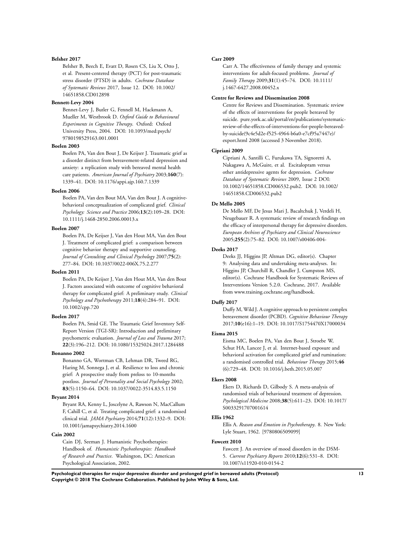#### **Belsher 2017**

Belsher B, Beech E, Evatt D, Rosen CS, Liu X, Otto J, et al. Present-centered therapy (PCT) for post-traumatic stress disorder (PTSD) in adults. *Cochrane Database of Systematic Reviews* 2017, Issue 12. DOI: 10.1002/ 14651858.CD012898

#### **Bennett-Levy 2004**

Bennet-Levy J, Butler G, Fennell M, Hackmann A, Mueller M, Westbrook D. *Oxford Guide to Behavioural Experiments in Cognitive Therapy*. Oxford: Oxford University Press, 2004. DOI: 10.1093/med:psych/ 9780198529163.001.0001

# **Boelen 2003**

Boelen PA, Van den Bout J, De Keijser J. Traumatic grief as a disorder distinct from bereavement-related depression and anxiety: a replication study with bereaved mental health care patients. *American Journal of Psychiatry* 2003;**160**(7): 1339–41. DOI: 10.1176/appi.ajp.160.7.1339

#### **Boelen 2006**

Boelen PA, Van den Bout MA, Van den Bout J. A cognitivebehavioral conceptualization of complicated grief. *Clinical Psychology: Science and Practice* 2006;**13**(2):109–28. DOI: 10.1111/j.1468-2850.2006.00013.x

#### **Boelen 2007**

Boelen PA, De Keijser J, Van den Hout MA, Van den Bout J. Treatment of complicated grief: a comparison between cognitive behavior therapy and supportive counseling. *Journal of Consulting and Clinical Psychology* 2007;**75**(2): 277–84. DOI: 10.1037/0022-006X.75.2.277

## **Boelen 2011**

Boelen PA, De Keijser J, Van den Hout MA, Van den Bout J. Factors associated with outcome of cognitive behavioral therapy for complicated grief: A preliminary study. *Clinical Psychology and Psychotherapy* 2011;**18**(4):284–91. DOI: 10.1002/cpp.720

#### **Boelen 2017**

Boelen PA, Smid GE. The Traumatic Grief Inventory Self-Report Version (TGI-SR): Introduction and preliminary psychometric evaluation. *Journal of Loss and Trauma* 2017; **22**(3):196–212. DOI: 10.1080/15325024.2017.1284488

## **Bonanno 2002**

Bonanno GA, Wortman CB, Lehman DR, Tweed RG, Haring M, Sonnega J, et al. Resilience to loss and chronic grief: A prospective study from preloss to 10-months postloss. *Journal of Personality and Social Psychology* 2002; **83**(5):1150–64. DOI: 10.1037/0022-3514.83.5.1150

## **Bryant 2014**

Bryant RA, Kenny L, Joscelyne A, Rawson N, MacCallum F, Cahill C, et al. Treating complicated grief: a randomised clinical trial. *JAMA Psychiatry* 2014;**71**(12):1332–9. DOI: 10.1001/jamapsychiatry.2014.1600

# **Cain 2002**

Cain DJ, Seeman J. Humanistic Psychotherapies: Handbook of. *Humanistic Psychotherapies: Handbook of Research and Practice*. Washington, DC: American Psychological Association, 2002.

#### **Carr 2009**

Carr A. The effectiveness of family therapy and systemic interventions for adult-focused problems. *Journal of Family Therapy* 2009;**31**(1):45–74. DOI: 10.1111/ j.1467-6427.2008.00452.x

## **Centre for Reviews and Dissemination 2008**

Centre for Reviews and Dissemination. Systematic review of the effects of interventions for people bereaved by suicide. pure.york.ac.uk/portal/en/publications/systematicreview-of-the-effects-of-interventions-for-people-bereavedby-suicide(9c4e5d2e-f525-4964-b6a0-e7cf95a7447e)/ export.html 2008 (accessed 3 November 2018).

# **Cipriani 2009**

Cipriani A, Santilli C, Furukawa TA, Signoretti A, Nakagawa A, McGuire, et al. Escitalopram versus other antidepressive agents for depression. *Cochrane Database of Systematic Reviews* 2009, Issue 2 DOI: 10.1002/14651858.CD006532.pub2. DOI: 10.1002/ 14651858.CD006532.pub2

# **De Mello 2005**

De Mello MF, De Jesus Mari J, Bacaltchuk J, Verdeli H, Neugebauer R. A systematic review of research findings on the efficacy of interpersonal therapy for depressive disorders. *European Archives of Psychiatry and Clinical Neuroscience* 2005;**255**(2):75–82. DOI: 10.1007/s00406-004-

## **Deeks 2017**

Deeks JJ, Higgins JP, Altman DG, editor(s). Chapter 9: Analysing data and undertaking meta-analyses. In: Higgins JP, Churchill R, Chandler J, Cumpston MS, editor(s). Cochrane Handbook for Systematic Reviews of Interventions Version 5.2.0. Cochrane, 2017. Available from www.training.cochrane.org/handbook.

## **Duffy 2017**

Duffy M, Wild J. A cognitive approach to persistent complex bereavement disorder (PCBD). *Cognitive Behaviour Therapy* 2017;**10**(e16):1–19. DOI: 10.1017/S1754470X17000034

# **Eisma 2015**

Eisma MC, Boelen PA, Van den Bout J, Stroebe W, Schut HA, Lancee J, et al. Internet-based exposure and behavioral activation for complicated grief and rumination: a randomised controlled trial. *Behaviour Therapy* 2015;**46** (6):729–48. DOI: 10.1016/j.beth.2015.05.007

# **Ekers 2008**

Ekers D, Richards D, Gilbody S. A meta-analysis of randomised trials of behavioural treatment of depression. *Psychological Medicine* 2008;**38**(5):611–23. DOI: 10.1017/ S0033291707001614

#### **Ellis 1962**

Ellis A. *Reason and Emotion in Psychotherapy*. 8. New York: Lyle Stuart, 1962. [9780806509099]

#### **Fawcett 2010**

Fawcett J. An overview of mood disorders in the DSM-5. *Current Psychiatry Reports* 2010;**12**(6):531–8. DOI: 10.1007/s11920-010-0154-2

**Psychological therapies for major depressive disorder and prolonged grief in bereaved adults (Protocol) 13 Copyright © 2018 The Cochrane Collaboration. Published by John Wiley & Sons, Ltd.**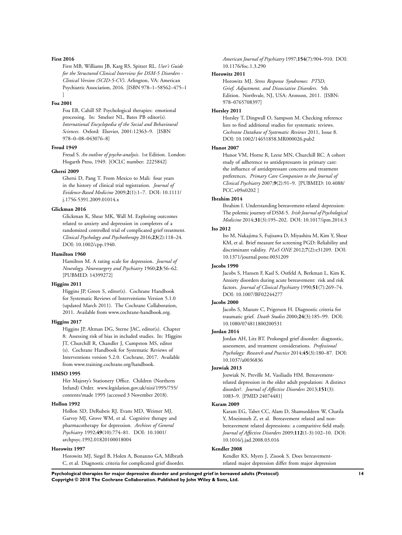#### **First 2016**

First MB, Williams JB, Karg RS, Spitzer RL. *User's Guide for the Structured Clinical Interview for DSM-5 Disorders - Clinical Version (SCID-5-CV)*. Arlington, VA: American Psychiatric Association, 2016. [ISBN 978–1–58562–475–1 ]

#### **Foa 2001**

Foa EB, Cahill SP. Psychological therapies: emotional processing. In: Smelser NL, Bates PB editor(s). *International Encyclopedia of the Social and Behavioural Sciences*. Oxford: Elsevier, 2001:12363–9. [ISBN 978–0–08–043076–8]

## **Freud 1949**

Freud S. *An outline of psycho-analysis*. 1st Edition. London: Hogarth Press, 1949. [OCLC number: 2225842]

#### **Ghersi 2009**

Ghersi D, Pang T. From Mexico to Mali: four years in the history of clinical trial registration. *Journal of Evidence-Based Medicine* 2009;**2**(1):1–7. DOI: 10.1111/ j.1756-5391.2009.01014.x

## **Glickman 2016**

Glickman K, Shear MK, Wall M. Exploring outcomes related to anxiety and depression in completers of a randomized controlled trial of complicated grief treatment. *Clinical Psychology and Psychotherapy* 2016;**23**(2):118–24. DOI: 10.1002/cpp.1940.

## **Hamilton 1960**

Hamilton M. A rating scale for depression. *Journal of Neurology, Neurosurgery and Psychiatry* 1960;**23**:56–62. [PUBMED: 14399272]

# **Higgins 2011**

Higgins JP, Green S, editor(s). Cochrane Handbook for Systematic Reviews of Interventions Version 5.1.0 (updated March 2011). The Cochrane Collaboration, 2011. Available from www.cochrane-handbook.org.

## **Higgins 2017**

Higgins JP, Altman DG, Sterne JAC, editor(s). Chapter 8: Assessing risk of bias in included studies. In: Higgins JT, Churchill R, Chandler J, Cumpston MS, editor (s). Cochrane Handbook for Systematic Reviews of Interventions version 5.2.0. Cochrane, 2017. Available from www.training.cochrane.org/handbook.

## **HMSO 1995**

Her Majesty's Stationery Office. Children (Northern Ireland) Order. www.legislation.gov.uk/nisi/1995/755/ contents/made 1995 (accessed 3 November 2018).

#### **Hollon 1992**

Hollon SD, DeRubeis RJ, Evans MD, Weimer MJ, Garvey MJ, Grove WM, et al. Cognitive therapy and pharmacotherapy for depression. *Archives of General Psychiatry* 1992;**49**(10):774–81. DOI: 10.1001/ archpsyc.1992.01820100018004

#### **Horowitz 1997**

Horowitz MJ, Siegel B, Holen A, Bonanno GA, Milbrath C, et al. Diagnostic criteria for complicated grief disorder. *American Journal of Psychiatry* 1997;**154**(7):904–910. DOI: 10.1176/foc.1.3.290

# **Horowitz 2011**

Horowitz MJ. *Stress Response Syndromes: PTSD, Grief, Adjustment, and Dissociative Disorders*. 5th Edition. Northvale, NJ, USA: Aronson, 2011. [ISBN: 978–0765708397]

## **Horsley 2011**

Horsley T, Dingwall O, Sampson M. Checking reference lists to find additional studies for systematic reviews. *Cochrane Database of Systematic Reviews* 2011, Issue 8. DOI: 10.1002/14651858.MR000026.pub2

#### **Hunot 2007**

Hunot VM, Horne R, Leese MN, Churchill RC. A cohort study of adherence to antidepressants in primary care: the influence of antidepressant concerns and treatment preferences. *Primary Care Companion to the Journal of Clinical Psychiatry* 2007;**9**(2):91–9. [PUBMED: 10.4088/ PCC.v09n0202 ]

## **Ibrahim 2014**

Ibrahim I. Understanding bereavement-related depression: The polemic journey of DSM-5. *Irish Journal of Psychological Medicine* 2014;**31**(3):195–202. DOI: 10.1017/ipm.2014.3

#### **Ito 2012**

Ito M, Nakajima S, Fujisawa D, Miyashita M, Kim Y, Shear KM, et al. Brief measure for screening PGD: Reliability and discriminant validity. *PLoS ONE* 2012;**7**(2):e31209. DOI: 10.1371/journal.pone.0031209

## **Jacobs 1990**

Jacobs S, Hansen F, Kasl S, Ostfeld A, Berkman L, Kim K. Anxiety disorders during acute bereavement: risk and risk factors. *Journal of Clinical Psychiatry* 1990;**51**(7):269–74. DOI: 10.1007/BF02244277

## **Jacobs 2000**

Jacobs S, Mazure C, Prigerson H. Diagnostic criteria for traumatic grief. *Death Studies* 2000;**24**(3):185–99. DOI: 10.1080/074811800200531

## **Jordan 2014**

Jordan AH, Litz BT. Prolonged grief disorder: diagnostic, assessment, and treatment considerations. *Professional Psychology: Research and Practice* 2014;**45**(3):180–87. DOI: 10.1037/a0036836

# **Jozwiak 2013**

Jozwiak N, Preville M, Vasiliadis HM. Bereavementrelated depression in the older adult population: A distinct disorder?. *Journal of Affective Disorders* 2013;**151**(3): 1083–9. [PMID 24074481]

#### **Karam 2009**

Karam EG, Tabet CC, Alam D, Shamseddeen W, Chatila Y, Mneimneh Z, et al. Bereavement related and nonbereavement related depressions: a comparitive field study. *Journal of Affective Disorders* 2009;**112**(1-3):102–10. DOI: 10.1016/j.jad.2008.03.016

# **Kendler 2008**

Kendler KS, Myers J, Zisook S. Does bereavementrelated major depression differ from major depression

**Psychological therapies for major depressive disorder and prolonged grief in bereaved adults (Protocol) 14 Copyright © 2018 The Cochrane Collaboration. Published by John Wiley & Sons, Ltd.**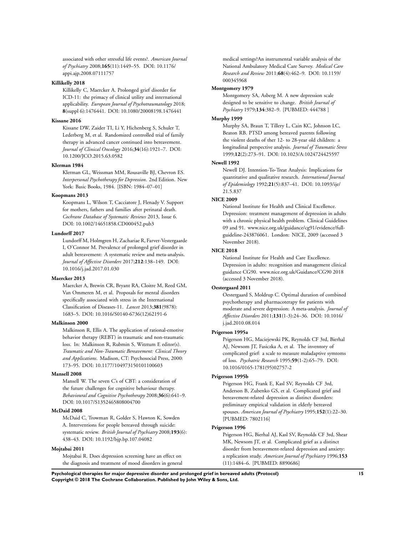associated with other stressful life events?. *American Journal of Psychiatry* 2008;**165**(11):1449–55. DOI: 10.1176/ appi.ajp.2008.07111757

#### **Killikelly 2018**

Killikelly C, Maercker A. Prolonged grief disorder for ICD-11: the primacy of clinical utility and international applicability. *European Journal of Psychotraumatology* 2018; **8**(suppl 6):1476441. DOI: 10.1080/20008198.1476441

#### **Kissane 2016**

Kissane DW, Zaider TI, Li Y, Hichenberg S, Schuler T, Lederberg M, et al. Randomized controlled trial of family therapy in advanced cancer continued into bereavement. *Journal of Clinical Oncology* 2016;**34**(16):1921–7. DOI: 10.1200/JCO.2015.63.0582

# **Klerman 1984**

Klerman GL, Weissman MM, Rousaville BJ, Chevron ES. *Interpersonal Psychotherapy for Depression*. 2nd Edition. New York: Basic Books, 1984. [ISBN: 1984–07–01]

#### **Koopmans 2013**

Koopmans L, Wilson T, Cacciatore J, Flenady V. Support for mothers, fathers and families after perinatal death. *Cochrane Database of Systematic Reviews* 2013, Issue 6. DOI: 10.1002/14651858.CD000452.pub3

## **Lundorff 2017**

Lundorff M, Holmgren H, Zachariae R, Farver-Vestergaarde I, O'Connor M. Prevalence of prolonged grief disorder in adult bereavement: A systematic review and meta-analysis. *Journal of Affective Disorders* 2017;**212**:138–149. DOI: 10.1016/j.jad.2017.01.030

## **Maercker 2013**

Maercker A, Brewin CR, Bryant RA, Cloitre M, Reed GM, Van Ommeren M, et al. Proposals for mental disorders specifically associated with stress in the International Classification of Diseases-11. *Lancet* 2013;**381**(9878): 1683–5. DOI: 10.1016/S0140-6736(12)62191-6

#### **Malkinson 2000**

Malkinson R, Ellis A. The application of rational-emotive behavior therapy (REBT) in traumatic and non-traumatic loss. In: Malkinson R, Rubmin S, Witztum E editor(s). *Traumatic and Non-Traumatic Bereavement: Clinical Theory and Applications*. Madison, CT: Psychosocial Press, 2000: 173–95. DOI: 10.1177/104973150101100603

#### **Mansell 2008**

Mansell W. The seven C's of CBT: a consideration of the future challenges for cognitive behaviour therapy. *Behavioural and Cognitive Psychotherapy* 2008;**36**(6):641–9. DOI: 10.1017/S1352465808004700

# **McDaid 2008**

McDaid C, Trowman R, Golder S, Hawton K, Sowden A. Interventions for people bereaved through suicide: systematic review. *British Journal of Psychiatry* 2008;**193**(6): 438–43. DOI: 10.1192/bjp.bp.107.04082

## **Mojtabai 2011**

Mojtabai R. Does depression screening have an effect on the diagnosis and treatment of mood disorders in general medical settings?An instrumental variable analysis of the National Ambulatory Medical Care Survey. *Medical Care Research and Review* 2011;**68**(4):462–9. DOI: 10.1159/ 000345968

#### **Montgomery 1979**

Montgomery SA, Asberg M. A new depression scale designed to be sensitive to change. *British Journal of Psychiatry* 1979;**134**:382–9. [PUBMED: 444788 ]

#### **Murphy 1999**

Murphy SA, Braun T, Tillery L, Cain KC, Johnson LC, Beaton RB. PTSD among bereaved parents following the violent deaths of ther 12- to 28-year old children: a longitudinal perspective analysis. *Journal of Traumatic Stress* 1999;**12**(2):273–91. DOI: 10.1023/A:1024724425597

# **Newell 1992**

Newell DJ. Intention-To-Treat Analysis: Implications for quantitative and qualitative research. *International Journal of Epidemiology* 1992;**21**(5):837–41. DOI: 10.1093/ije/ 21.5.837

## **NICE 2009**

National Institute for Health and Clinical Excellence. Depression: treatment management of depression in adults with a chronic physical health problem. Clinical Guidelines 09 and 91. www.nice.org.uk/guidance/cg91/evidence/fullguideline-243876061. London: NICE, 2009 (accessed 3 November 2018).

#### **NICE 2018**

National Institute for Health and Care Excellence. Depression in adults: recognition and management clinical guidance CG90. www.nice.org.uk/Guidance/CG90 2018 (accessed 3 November 2018).

# **Oestergaard 2011**

Oestergaard S, Moldrup C. Optimal duration of combined psychotherapy and pharmacoterapy for patients with moderate and severe depression: A meta-analysis. *Journal of Affective Disorders* 2011;**131**(1-3):24–36. DOI: 10.1016/ j.jad.2010.08.014

# **Prigerson 1995a**

Prigerson HG, Maciejewski PK, Reynolds CF 3rd, Bierhal AJ, Newsom JT, Fasiczka A, et al. The inventory of complicated grief: a scale to measure maladaptive symtoms of loss. *Psychatric Research* 1995;**59**(1-2):65–79. DOI: 10.1016/0165-1781(95)02757-2

# **Prigerson 1995b**

Prigerson HG, Frank E, Kasl SV, Reynolds CF 3rd, Anderson B, Zubenko GS, et al. Complicated grief and bereavement-related depression as distinct disorders: preliminary empirical validation in elderly bereaved spouses. *American Journal of Psychiatry* 1995;**152**(1):22–30. [PUBMED: 7802116]

# **Prigerson 1996**

Prigerson HG, Bierhal AJ, Kasl SV, Reynolds CF 3rd, Shear MK, Newsom JT, et al. Complicated grief as a distinct disorder from bereavement-related depression and anxiety: a replication study. *American Journal of Psychiatry* 1996;**153** (11):1484–6. [PUBMED: 8890686]

**Psychological therapies for major depressive disorder and prolonged grief in bereaved adults (Protocol) 15 Copyright © 2018 The Cochrane Collaboration. Published by John Wiley & Sons, Ltd.**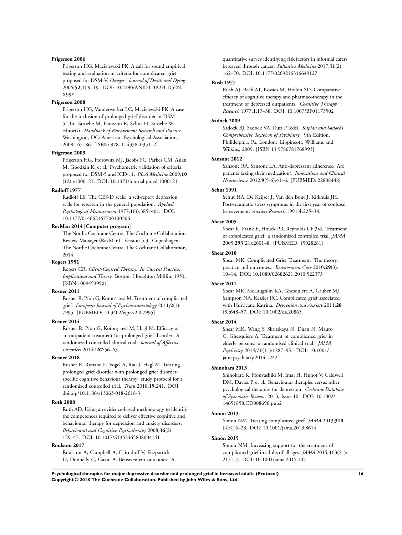#### **Prigerson 2006**

Prigerson HG, Maciejewski PK. A call for sound empirical testing and evaluation or criteria for complicated grief proposed for DSM-V. *Omega - Journal of Death and Dying* 2006;**52**(1):9–19. DOI: 10.2190/ANKH-BB2H-D52N-X99Y

# **Prigerson 2008**

Prigerson HG, Vanderwerker LC, Maciejewski PK. A case for the inclusion of prolonged grief disorder in DSM-5. In: Stroebe M, Hansson R, Schut H, Stroebe W editor(s). *Handbook of Bereavement Research and Practice*. Washington, DC: American Psychological Association, 2008:165–86. [ISBN: 978–1–4338–0351–2]

# **Prigerson 2009**

Prigerson HG, Horowitz MJ, Jacobs SC, Parkes CM, Aslan M, Goodkin K, et al. Psychometric validation of criteria proposed for DSM-5 and ICD-11. *PLoS Medicine* 2009;**10** (12):e1000121. DOI: 10.1371/journal.pmed.1000121

#### **Radloff 1977**

Radloff LS. The CES-D scale: a self-report depression scale for research in the general population. *Applied Psychological Measurement* 1977;**1**(3):385–401. DOI: 10.1177/014662167700100306

## **RevMan 2014 [Computer program]**

The Nordic Cochrane Centre, The Cochrane Collaboration. Review Manager (RevMan). Version 5.3. Copenhagen: The Nordic Cochrane Centre, The Cochrane Collaboration, 2014.

## **Rogers 1951**

Rogers CR. *Client-Centred Therapy: Its Current Practice, Implications and Theory*. Boston: Houghton Mifflin, 1951. [ISBN: 0094539901]

#### **Rosner 2011**

Rosner R, Pfoh G, Kotoue ová M. Treatment of complicated grief. *European Journal of Psychotraumatology* 2011;**2**(1): 7995. [PUBMED: 10.3402/ejpt.v2i0.7995]

#### **Rosner 2014**

Rosner R, Pfoh G, Kotouč ová M, Hagl M. Efficacy of an outpatient treatment for prolonged grief disorder: A randomized controlled clinical trial. *Journal of Affective Disorders* 2014;**167**:56–63.

# **Rosner 2018**

Rosner R, Rimane E, Vogel A, Rau J, Hagl M. Treating prolonged grief disorder with prolonged grief disorderspecific cognitive behaviour therapy: study protocol for a randomized controlled trial. *Trials* 2018;**19**:241. DOI: doi.org/10.1186/s13063-018-2618-3

# **Roth 2008**

Roth AD. Using an evidence-based methodology to identify the competences required to deliver effective cognitive and behavioural therapy for depression and anxiety disorders. *Behavioural and Cognitive Psychotherapy* 2008;**36**(2): 129–47. DOI: 10.1017/S1352465808004141

## **Roulston 2017**

Roulston A, Campbell A, Cairnduff V, Fitzpatrick D, Donnelly C, Gavin A. Bereavement outcomes: A quantitative survey identifying risk factors in informal carers bereaved through cancer. *Palliative Medicine* 2017;**31**(2): 162–70. DOI: 10.1177/0269216316649127

## **Rush 1977**

Rush AJ, Beck AT, Kovacs M, Hollon SD. Comparative efficacy of cognitive therapy and pharmacotherapy in the treatment of depressed outpatients. *Cognitive Therapy Research* 1977;**1**:17–38. DOI: 10.1007/BF01173502

#### **Sadock 2009**

Sadock BJ, Sadock VA, Ruiz P (eds). *Kaplan and Sadock's Comprehensive Textbook of Psychiatry*. 9th Edition. Philidelphia, Pa, London: Lippincott, Williams and Wilkins, 2009. [ISBN 13 9780781768993]

# **Sansone 2012**

Sansone RA, Sansone LA. Anti-depressant adherence: Are patients taking their medication?. *Innovations and Clinical Neuroscience* 2012;**9**(5-6):41–6. [PUBMED: 22808448]

# **Schut 1991**

Schut HA, De Keijser J, Van den Bout J, Kijkhuis JH. Post-traumatic stress symptoms in the first year of conjugal bereavement. *Anxiety Research* 1991;**4**:225–34.

# **Shear 2005**

Shear K, Frank E, Houck PR, Reynolds CF 3rd. Treatment of complicated grief: a randomized controlled trial. *JAMA* 2005;**293**(21):2601–8. [PUBMED: 15928281]

## **Shear 2010**

Shear MK. Complicated Grief Treatment: The theory, practice and outcomes.. *Bereavement Care* 2010;**29**(3): 10–14. DOI: 10.1080/02682621.2010.522373

#### **Shear 2011**

Shear MK, McLaughlin KA, Ghesquiere A, Gruber MJ, Sampson NA, Kessler RC. Complicated grief associated with Hurricane Katrina. *Depression and Anxiety* 2011;**28** (8):648–57. DOI: 10.1002/da.20865

## **Shear 2014**

Shear MK, Wang Y, Skritskaya N, Duan N, Mauro C, Ghesquiere A. Treatment of complicated grief in elderly persons: a randomised clinical trial. *JAMA Psychiatry* 2014;**71**(11):1287–95. DOI: 10.1001/ jamapsychiatry.2014.1242

# **Shinohara 2013**

Shinohara K, Honyashiki M, Imai H, Hunot V, Caldwell DM, Davies P, et al. Behavioural therapies versus other psychological therapies for depression. *Cochrane Database of Systematic Reviews* 2013, Issue 10. DOI: 10.1002/ 14651858.CD008696.pub2

#### **Simon 2013**

Simon NM. Treating complicated grief. *JAMA* 2013;**310** (4):416–23. DOI: 10.1001/jama.2013.8614

# **Simon 2015**

Simon NM. Increasing support for the treatment of complicated grief in adults of all ages. *JAMA* 2015;**313**(21): 2171–3. DOI: 10.1001/jama.2015.105

**Psychological therapies for major depressive disorder and prolonged grief in bereaved adults (Protocol) 16 Copyright © 2018 The Cochrane Collaboration. Published by John Wiley & Sons, Ltd.**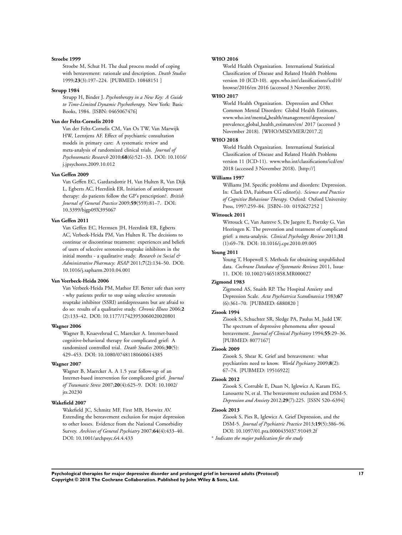#### **Stroebe 1999**

Stroebe M, Schut H. The dual process model of coping with bereavement: rationale and description. *Death Studies* 1999;**23**(3):197–224. [PUBMED: 10848151 ]

#### **Strupp 1984**

Strupp H, Binder J. *Psychotherapy in a New Key: A Guide to Time-Limited Dynamic Psychotherapy*. New York: Basic Books, 1984. [ISBN: 0465067476]

# **Van der Feltz-Cornelis 2010**

Van der Feltz-Cornelis CM, Van Os TW, Van Marwijk HW, Leentjens AF. Effect of psychiatric consultation models in primary care: A systematic review and meta-analysis of randomized clinical trials. *Journal of Psychosomatic Research* 2010;**68**(6):521–33. DOI: 10.1016/ j.jpsychores.2009.10.012

#### **Van Geffen 2009**

Van Geffen EC, Gardarsdottir H, Van Hulten R, Van Dijk L, Egberts AC, Heerdink ER. Initiation of antidepressant therapy: do patients follow the GP's prescription?. *British Journal of General Practice* 2009;**59**(559):81–7. DOI: 10.3399/bjgp09X395067

# **Van Geffen 2011**

Van Geffen EC, Hermsen JH, Heerdink ER, Egberts AC, Verbeek-Heida PM, Van Hulten R. The decisions to continue or discontinue treatment: experiences and beliefs of users of selective serotonin-reuptake inhibitors in the initial months - a qualitative study. *Research in Social & Administrative Pharmacy: RSAP* 2011;**7**(2):134–50. DOI: 10.1016/j.sapharm.2010.04.001

## **Van Veerbeck-Heida 2006**

Van Verbeek-Heida PM, Mathor EF. Better safe than sorry - why patients prefer to stop using selective serotonin reuptake inhibitor (SSRI) antidepressants but are afraid to do so: results of a qualitative study. *Chronic Illness* 2006;**2** (2):133–42. DOI: 10.1177/17423953060020020801

#### **Wagner 2006**

Wagner B, Knaevelsrud C, Maercker A. Internet-based cognitive-behavioral therapy for complicated grief: A randomized controlled trial. *Death Studies* 2006;**30**(5): 429–453. DOI: 10.1080/07481180600614385

#### **Wagner 2007**

Wagner B, Maercker A. A 1.5 year follow-up of an Internet-based intervention for complicated grief. *Journal of Traumatic Stress* 2007;**20**(4):625–9. DOI: 10.1002/ jts.20230

#### **Wakefield 2007**

Wakefield JC, Schmitz MF, First MB, Horwitz AV. Extending the bereavement exclusion for major depression to other losses. Evidence from the National Comorbidity Survey. *Archives of General Psychiatry* 2007;**64**(4):433–40. DOI: 10.1001/archpsyc.64.4.433

#### **WHO 2016**

World Health Organization. International Statistical Classification of Disease and Related Health Problems version 10 (ICD-10). apps.who.int/classifications/icd10/ browse/2016/en 2016 (accessed 3 November 2018).

## **WHO 2017**

World Health Organization. Depression and Other Common Mental Disorders: Global Health Estimates. www.who.int/mental health/management/depression/ prevalence global health estimates/en/ 2017 (accessed 3 November 2018). [WHO/MSD/MER/2017.2]

## **WHO 2018**

World Health Organization. International Statistical Classification of Disease and Related Health Problems version 11 (ICD-11). www.who.int/classifications/icd/en/ 2018 (accessed 3 November 2018). [http://]

#### **Williams 1997**

Williams JM. Specific problems and disorders: Depression. In: Clark DA, Fairburn CG editor(s). *Science and Practice of Cognitive Behaviour Therapy*. Oxford: Oxford University Press, 1997:259-84. [ISBN-10: 0192627252 ]

## **Wittouck 2011**

Wittouck C, Van Autreve S, De Jaegere E, Portzky G, Van Heeringen K. The prevention and treatment of complicated grief: a meta-analysis. *Clinical Psychology Review* 2011;**31** (1):69–78. DOI: 10.1016/j.cpr.2010.09.005

# **Young 2011**

Young T, Hopewell S. Methods for obtaining unpublished data. *Cochrane Database of Systematic Reviews* 2011, Issue 11. DOI: 10.1002/14651858.MR000027

## **Zigmond 1983**

Zigmond AS, Snaith RP. The Hospital Anxiety and Depression Scale. *Acta Psychiatrica Scandinavica* 1983;**67** (6):361–70. [PUBMED: 6880820 ]

## **Zisook 1994**

Zisook S, Schuchter SR, Sledge PA, Paulus M, Judd LW. The spectrum of depressive phenomena after spousal bereavement. *Journal of Clinical Psychiatry* 1994;**55**:29–36. [PUBMED: 8077167]

#### **Zisook 2009**

Zisook S, Shear K. Grief and bereavement: what psychiatrists need to know. *World Psychiatry* 2009;**8**(2): 67–74. [PUBMED: 19516922]

# **Zisook 2012**

Zisook S, Corruble E, Duan N, Iglewicz A, Karam EG, Lanouette N, et al. The bereavement exclusion and DSM-5. *Depression and Anxiety* 2012;**29**(7):225. [ISSN 520–6394]

#### **Zisook 2013**

Zisook S, Pies R, Iglewicz A. Grief Depression, and the DSM-5. *Journal of Psychiatric Practice* 2013;**19**(5):386–96. DOI: 10.1097/01.pra.0000435037.91049.2f

∗ *Indicates the major publication for the study*

**Psychological therapies for major depressive disorder and prolonged grief in bereaved adults (Protocol) 17 Copyright © 2018 The Cochrane Collaboration. Published by John Wiley & Sons, Ltd.**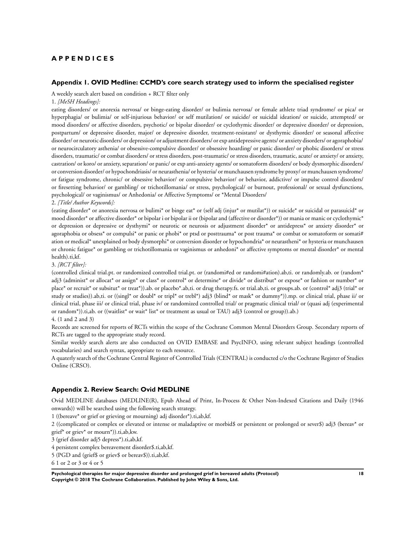# <span id="page-19-0"></span>**A P P E N D I C E S**

# **Appendix 1. OVID Medline: CCMD's core search strategy used to inform the specialised register**

A weekly search alert based on condition + RCT filter only

## 1. *[MeSH Headings]:*

eating disorders/ or anorexia nervosa/ or binge-eating disorder/ or bulimia nervosa/ or female athlete triad syndrome/ or pica/ or hyperphagia/ or bulimia/ or self-injurious behavior/ or self mutilation/ or suicide/ or suicidal ideation/ or suicide, attempted/ or mood disorders/ or affective disorders, psychotic/ or bipolar disorder/ or cyclothymic disorder/ or depressive disorder/ or depression, postpartum/ or depressive disorder, major/ or depressive disorder, treatment-resistant/ or dysthymic disorder/ or seasonal affective disorder/ or neurotic disorders/ or depression/ or adjustment disorders/ or exp antidepressive agents/ or anxiety disorders/ or agoraphobia/ or neurocirculatory asthenia/ or obsessive-compulsive disorder/ or obsessive hoarding/ or panic disorder/ or phobic disorders/ or stress disorders, traumatic/ or combat disorders/ or stress disorders, post-traumatic/ or stress disorders, traumatic, acute/ or anxiety/ or anxiety, castration/ or koro/ or anxiety, separation/ or panic/ or exp anti-anxiety agents/ or somatoform disorders/ or body dysmorphic disorders/ or conversion disorder/ or hypochondriasis/ or neurasthenia/ or hysteria/ or munchausen syndrome by proxy/ or munchausen syndrome/ or fatigue syndrome, chronic/ or obsessive behavior/ or compulsive behavior/ or behavior, addictive/ or impulse control disorders/ or firesetting behavior/ or gambling/ or trichotillomania/ or stress, psychological/ or burnout, professional/ or sexual dysfunctions, psychological/ or vaginismus/ or Anhedonia/ or Affective Symptoms/ or \*Mental Disorders/

# 2. *[Title/ Author Keywords]:*

(eating disorder\* or anorexia nervosa or bulimi\* or binge eat\* or (self adj (injur\* or mutilat\*)) or suicide\* or suicidal or parasuicid\* or mood disorder\* or affective disorder\* or bipolar i or bipolar ii or (bipolar and (affective or disorder\*)) or mania or manic or cyclothymic\* or depression or depressive or dysthymi\* or neurotic or neurosis or adjustment disorder\* or antidepress\* or anxiety disorder\* or agoraphobia or obsess\* or compulsi\* or panic or phobi\* or ptsd or posttrauma\* or post trauma\* or combat or somatoform or somati# ation or medical\* unexplained or body dysmorphi\* or conversion disorder or hypochondria\* or neurastheni\* or hysteria or munchausen or chronic fatigue\* or gambling or trichotillomania or vaginismus or anhedoni\* or affective symptoms or mental disorder\* or mental health).ti,kf.

# 3. *[RCT filter]:*

(controlled clinical trial.pt. or randomized controlled trial.pt. or (randomi#ed or randomi#ation).ab,ti. or randomly.ab. or (random\* adj3 (administ\* or allocat\* or assign\* or class\* or control\* or determine\* or divide\* or distribut\* or expose\* or fashion or number\* or place\* or recruit\* or subsitut\* or treat\*)).ab. or placebo\*.ab,ti. or drug therapy.fs. or trial.ab,ti. or groups.ab. or (control\* adj3 (trial\* or study or studies)).ab,ti. or ((singl\* or doubl\* or tripl\* or trebl\*) adj3 (blind\* or mask\* or dummy\*)).mp. or clinical trial, phase ii/ or clinical trial, phase iii/ or clinical trial, phase iv/ or randomized controlled trial/ or pragmatic clinical trial/ or (quasi adj (experimental or random\*)).ti,ab. or ((waitlist\* or wait\* list\* or treatment as usual or TAU) adj3 (control or group)).ab.)

# 4. (1 and 2 and 3)

Records are screened for reports of RCTs within the scope of the Cochrane Common Mental Disorders Group. Secondary reports of RCTs are tagged to the appropriate study record.

Similar weekly search alerts are also conducted on OVID EMBASE and PsycINFO, using relevant subject headings (controlled vocabularies) and search syntax, appropriate to each resource.

A quaterly search of the Cochrane Central Register of Controlled Trials (CENTRAL) is conducted c/o the Cochrane Register of Studies Online (CRSO).

# **Appendix 2. Review Search: Ovid MEDLINE**

Ovid MEDLINE databases (MEDLINE(R), Epub Ahead of Print, In-Process & Other Non-Indexed Citations and Daily (1946 onwards)) will be searched using the following search strategy.

1 ((bereave\* or grief or grieving or mourning) adj disorder\*).ti,ab,kf.

2 ((complicated or complex or elevated or intense or maladaptive or morbid\$ or persistent or prolonged or sever\$) adj3 (bereav\* or grief\* or griev\* or mourn\*)).ti,ab,kw.

3 (grief disorder adj5 depress\*).ti,ab,kf.

**Psychological therapies for major depressive disorder and prolonged grief in bereaved adults (Protocol) 18 Copyright © 2018 The Cochrane Collaboration. Published by John Wiley & Sons, Ltd.**

<sup>4</sup> persistent complex bereavement disorder\$.ti,ab,kf.

<sup>5 (</sup>PGD and (grief\$ or griev\$ or bereav\$)).ti,ab,kf.

<sup>6 1</sup> or 2 or 3 or 4 or 5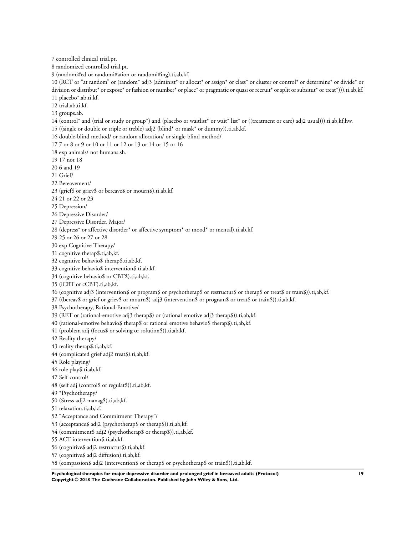7 controlled clinical trial.pt. 8 randomized controlled trial.pt. 9 (randomi#ed or randomi#ation or randomi#ing).ti,ab,kf. 10 (RCT or "at random" or (random\* adj3 (administ\* or allocat\* or assign\* or class\* or cluster or control\* or determine\* or divide\* or division or distribut\* or expose\* or fashion or number\* or place\* or pragmatic or quasi or recruit\* or split or subsitut\* or treat\*))).ti,ab,kf. 11 placebo\*.ab,ti,kf. 12 trial.ab,ti,kf. 13 groups.ab. 14 (control<sup>\*</sup> and (trial or study or group<sup>\*</sup>) and (placebo or waitlist<sup>\*</sup> or wait<sup>\*</sup> list<sup>\*</sup> or ((treatment or care) adj2 usual))).ti,ab,kf,hw. 15 ((single or double or triple or treble) adj2 (blind\* or mask\* or dummy)).ti,ab,kf. 16 double-blind method/ or random allocation/ or single-blind method/ 17 7 or 8 or 9 or 10 or 11 or 12 or 13 or 14 or 15 or 16 18 exp animals/ not humans.sh. 19 17 not 18 20 6 and 19 21 Grief/ 22 Bereavement/ 23 (grief\$ or griev\$ or bereave\$ or mourn\$).ti,ab,kf. 24 21 or 22 or 23 25 Depression/ 26 Depressive Disorder/ 27 Depressive Disorder, Major/ 28 (depress\* or affective disorder\* or affective symptom\* or mood\* or mental).ti,ab,kf. 29 25 or 26 or 27 or 28 30 exp Cognitive Therapy/ 31 cognitive therap\$.ti,ab,kf. 32 cognitive behavio\$ therap\$.ti,ab,kf. 33 cognitive behavio\$ intervention\$.ti,ab,kf. 34 (cognitive behavio\$ or CBT\$).ti,ab,kf. 35 (iCBT or cCBT).ti,ab,kf. 36 (cognitive adj3 (intervention\$ or program\$ or psychotherap\$ or restructur\$ or therap\$ or treat\$ or train\$)).ti,ab,kf. 37 ((bereav\$ or grief or griev\$ or mourn\$) adj3 (intervention\$ or program\$ or treat\$ or train\$)).ti,ab,kf. 38 Psychotherapy, Rational-Emotive/ 39 (RET or (rational-emotive adj3 therap\$) or (rational emotive adj3 therap\$)).ti,ab,kf. 40 (rational-emotive behavio\$ therap\$ or rational emotive behavio\$ therap\$).ti,ab,kf. 41 (problem adj (focus\$ or solving or solution\$)).ti,ab,kf. 42 Reality therapy/ 43 reality therap\$.ti,ab,kf. 44 (complicated grief adj2 treat\$).ti,ab,kf. 45 Role playing/ 46 role play\$.ti,ab,kf. 47 Self-control/ 48 (self adj (control\$ or regulat\$)).ti,ab,kf. 49 \*Psychotherapy/ 50 (Stress adj2 manag\$).ti,ab,kf. 51 relaxation.ti,ab,kf. 52 "Acceptance and Commitment Therapy"/ 53 (acceptance\$ adj2 (psychotherap\$ or therap\$)).ti,ab,kf. 54 (commitment\$ adj2 (psychotherap\$ or therap\$)).ti,ab,kf. 55 ACT intervention\$.ti,ab,kf. 56 (cognitive\$ adj2 restructur\$).ti,ab,kf. 57 (cognitive\$ adj2 diffusion).ti,ab,kf. 58 (compassion\$ adj2 (intervention\$ or therap\$ or psychotherap\$ or train\$)).ti,ab,kf. **Psychological therapies for major depressive disorder and prolonged grief in bereaved adults (Protocol) 19**

**Copyright © 2018 The Cochrane Collaboration. Published by John Wiley & Sons, Ltd.**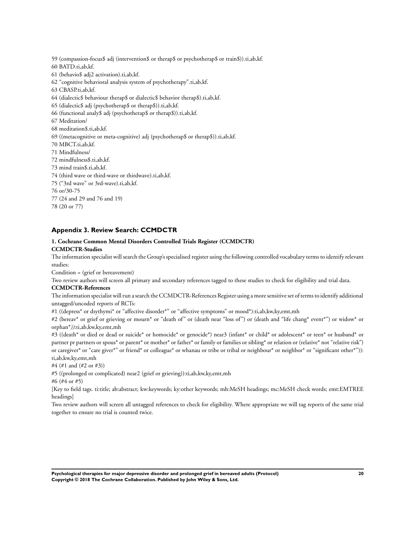<span id="page-21-0"></span>59 (compassion-focus\$ adj (intervention\$ or therap\$ or psychotherap\$ or train\$)).ti,ab,kf. 60 BATD.ti,ab,kf. 61 (behavio\$ adj2 activation).ti,ab,kf. 62 "cognitive behavioral analysis system of psychotherapy".ti,ab,kf. 63 CBASP.ti,ab,kf. 64 (dialectic\$ behaviour therap\$ or dialectic\$ behavior therap\$).ti,ab,kf. 65 (dialectic\$ adj (psychotherap\$ or therap\$)).ti,ab,kf. 66 (functional analy\$ adj (psychotherap\$ or therap\$)).ti,ab,kf. 67 Meditation/ 68 meditation\$.ti,ab,kf. 69 ((metacognitive or meta-cognitive) adj (psychotherap\$ or therap\$)).ti,ab,kf. 70 MBCT.ti,ab,kf. 71 Mindfulness/ 72 mindfulness\$.ti,ab,kf. 73 mind train\$.ti,ab,kf. 74 (third wave or third-wave or thirdwave).ti,ab,kf. 75 ("3rd wave" or 3rd-wave).ti,ab,kf. 76 or/30-75 77 (24 and 29 and 76 and 19)

78 (20 or 77)

# **Appendix 3. Review Search: CCMDCTR**

# **1. Cochrane Common Mental Disorders Controlled Trials Register (CCMDCTR)**

# **CCMDCTR-Studies**

The information specialist will search the Group's specialised register using the following controlled vocabulary terms to identify relevant studies:

Condition = (grief or bereavement)

Two review authors will screen all primary and secondary references tagged to these studies to check for eligibility and trial data.

# **CCMDCTR-References**

The information specialist will run a search the CCMDCTR-References Register using a more sensitive set of terms to identify additional untagged/uncoded reports of RCTs:

#1 ((depress\* or dsythymi\* or "affective disorder\*" or "affective symptoms" or mood\*):ti,ab,kw,ky,emt,mh

#2 (bereav\* or grief or grieving or mourn\* or "death of" or (death near "loss of") or (death and "life chang\* event\*") or widow\* or orphan\**))*:ti,ab,kw,ky,emt,mh

#3 ((death\* or died or dead or suicide\* or homocide\* or genocide\*) near3 (infant\* or child\* or adolescent\* or teen\* or husband\* or partner pr partners or spous\* or parent\* or mother\* or father\* or family or families or sibling\* or relation or (relative\* not "relative risk") or caregiver\* or "care giver\*" or friend\* or colleague\* or whanau or tribe or tribal or neighbour\* or neighbor\* or "significant other\*")): ti,ab,kw,ky,emt,mh

#4 (#1 and (#2 or #3))

#5 ((prolonged or complicated) near2 (grief or grieving)):ti,ab,kw,ky,emt,mh

#6 (#4 or #5)

[Key to field tags. ti:title; ab:abstract; kw:keywords; ky:other keywords; mh:MeSH headings; mc:MeSH check words; emt:EMTREE headings]

Two review authors will screen all untagged references to check for eligibility. Where appropriate we will tag reports of the same trial together to ensure no trial is counted twice.

**Psychological therapies for major depressive disorder and prolonged grief in bereaved adults (Protocol) 20 Copyright © 2018 The Cochrane Collaboration. Published by John Wiley & Sons, Ltd.**